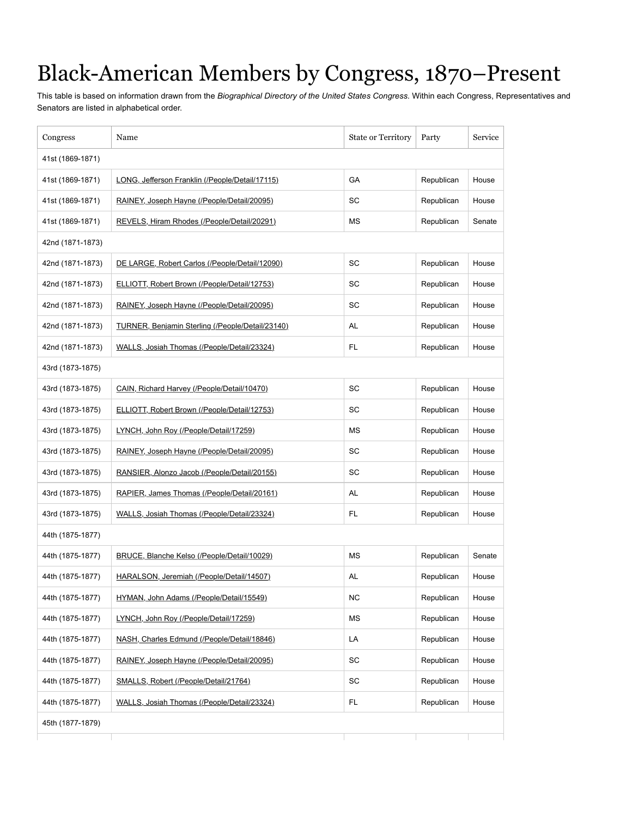## Black-American Members by Congress, 1870–Present

This table is based on information drawn from the *Biographical Directory of the United States Congress*. Within each Congress, Representatives and Senators are listed in alphabetical order.

| Congress         | Name                                             | <b>State or Territory</b> | Party      | Service |
|------------------|--------------------------------------------------|---------------------------|------------|---------|
| 41st (1869-1871) |                                                  |                           |            |         |
| 41st (1869-1871) | LONG, Jefferson Franklin (/People/Detail/17115)  | GА                        | Republican | House   |
| 41st (1869-1871) | RAINEY, Joseph Hayne (/People/Detail/20095)      | SC                        | Republican | House   |
| 41st (1869-1871) | REVELS, Hiram Rhodes (/People/Detail/20291)      | <b>MS</b>                 | Republican | Senate  |
| 42nd (1871-1873) |                                                  |                           |            |         |
| 42nd (1871-1873) | DE LARGE, Robert Carlos (/People/Detail/12090)   | SC                        | Republican | House   |
| 42nd (1871-1873) | ELLIOTT, Robert Brown (/People/Detail/12753)     | SC                        | Republican | House   |
| 42nd (1871-1873) | RAINEY, Joseph Hayne (/People/Detail/20095)      | SC                        | Republican | House   |
| 42nd (1871-1873) | TURNER, Benjamin Sterling (/People/Detail/23140) | AL                        | Republican | House   |
| 42nd (1871-1873) | WALLS, Josiah Thomas (/People/Detail/23324)      | FL                        | Republican | House   |
| 43rd (1873-1875) |                                                  |                           |            |         |
| 43rd (1873-1875) | CAIN, Richard Harvey (/People/Detail/10470)      | SC                        | Republican | House   |
| 43rd (1873-1875) | ELLIOTT, Robert Brown (/People/Detail/12753)     | SC                        | Republican | House   |
| 43rd (1873-1875) | LYNCH, John Roy (/People/Detail/17259)           | <b>MS</b>                 | Republican | House   |
| 43rd (1873-1875) | RAINEY, Joseph Hayne (/People/Detail/20095)      | SC                        | Republican | House   |
| 43rd (1873-1875) | RANSIER, Alonzo Jacob (/People/Detail/20155)     | SC                        | Republican | House   |
| 43rd (1873-1875) | RAPIER, James Thomas (/People/Detail/20161)      | AL                        | Republican | House   |
| 43rd (1873-1875) | WALLS, Josiah Thomas (/People/Detail/23324)      | FL                        | Republican | House   |
| 44th (1875-1877) |                                                  |                           |            |         |
| 44th (1875-1877) | BRUCE, Blanche Kelso (/People/Detail/10029)      | <b>MS</b>                 | Republican | Senate  |
| 44th (1875-1877) | HARALSON, Jeremiah (/People/Detail/14507)        | AL                        | Republican | House   |
| 44th (1875-1877) | HYMAN, John Adams (/People/Detail/15549)         | <b>NC</b>                 | Republican | House   |
| 44th (1875-1877) | LYNCH, John Roy (/People/Detail/17259)           | ΜS                        | Republican | House   |
| 44th (1875-1877) | NASH, Charles Edmund (/People/Detail/18846)      | LA                        | Republican | House   |
| 44th (1875-1877) | RAINEY, Joseph Hayne (/People/Detail/20095)      | SC                        | Republican | House   |
| 44th (1875-1877) | SMALLS, Robert (/People/Detail/21764)            | SC                        | Republican | House   |
| 44th (1875-1877) | WALLS, Josiah Thomas (/People/Detail/23324)      | <b>FL</b>                 | Republican | House   |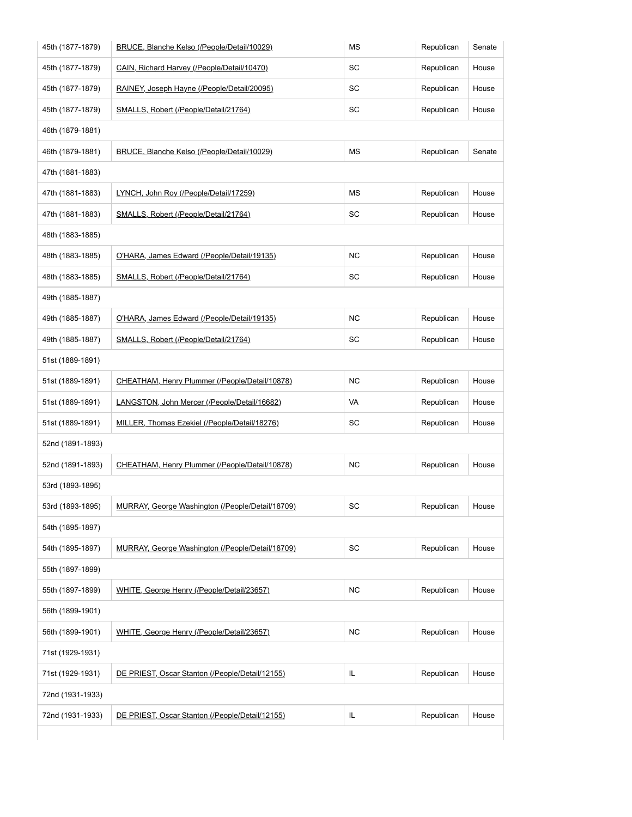| 45th (1877-1879) | BRUCE, Blanche Kelso (/People/Detail/10029)      | <b>MS</b> | Republican | Senate |
|------------------|--------------------------------------------------|-----------|------------|--------|
| 45th (1877-1879) | CAIN, Richard Harvey (/People/Detail/10470)      | SC        | Republican | House  |
| 45th (1877-1879) | RAINEY, Joseph Hayne (/People/Detail/20095)      | SC        | Republican | House  |
| 45th (1877-1879) | SMALLS, Robert (/People/Detail/21764)            | SC        | Republican | House  |
| 46th (1879-1881) |                                                  |           |            |        |
| 46th (1879-1881) | BRUCE, Blanche Kelso (/People/Detail/10029)      | МS        | Republican | Senate |
| 47th (1881-1883) |                                                  |           |            |        |
| 47th (1881-1883) | LYNCH, John Roy (/People/Detail/17259)           | ΜS        | Republican | House  |
| 47th (1881-1883) | SMALLS, Robert (/People/Detail/21764)            | SC        | Republican | House  |
| 48th (1883-1885) |                                                  |           |            |        |
| 48th (1883-1885) | O'HARA, James Edward (/People/Detail/19135)      | <b>NC</b> | Republican | House  |
| 48th (1883-1885) | SMALLS, Robert (/People/Detail/21764)            | SC        | Republican | House  |
| 49th (1885-1887) |                                                  |           |            |        |
| 49th (1885-1887) | O'HARA, James Edward (/People/Detail/19135)      | ΝC        | Republican | House  |
| 49th (1885-1887) | SMALLS, Robert (/People/Detail/21764)            | SC        | Republican | House  |
| 51st (1889-1891) |                                                  |           |            |        |
| 51st (1889-1891) | CHEATHAM, Henry Plummer (/People/Detail/10878)   | ΝC        | Republican | House  |
| 51st (1889-1891) | LANGSTON, John Mercer (/People/Detail/16682)     | VA        | Republican | House  |
| 51st (1889-1891) | MILLER, Thomas Ezekiel (/People/Detail/18276)    | SC        | Republican | House  |
| 52nd (1891-1893) |                                                  |           |            |        |
| 52nd (1891-1893) | CHEATHAM, Henry Plummer (/People/Detail/10878)   | <b>NC</b> | Republican | House  |
| 53rd (1893-1895) |                                                  |           |            |        |
| 53rd (1893-1895) | MURRAY, George Washington (/People/Detail/18709) | SC        | Republican | House  |
| 54th (1895-1897) |                                                  |           |            |        |
| 54th (1895-1897) | MURRAY, George Washington (/People/Detail/18709) | SC        | Republican | House  |
| 55th (1897-1899) |                                                  |           |            |        |
| 55th (1897-1899) | WHITE, George Henry (/People/Detail/23657)       | <b>NC</b> | Republican | House  |
| 56th (1899-1901) |                                                  |           |            |        |
| 56th (1899-1901) | WHITE, George Henry (/People/Detail/23657)       | NC        | Republican | House  |
| 71st (1929-1931) |                                                  |           |            |        |
| 71st (1929-1931) | DE PRIEST, Oscar Stanton (/People/Detail/12155)  | IL.       | Republican | House  |
| 72nd (1931-1933) |                                                  |           |            |        |
| 72nd (1931-1933) | DE PRIEST, Oscar Stanton (/People/Detail/12155)  | IL.       | Republican | House  |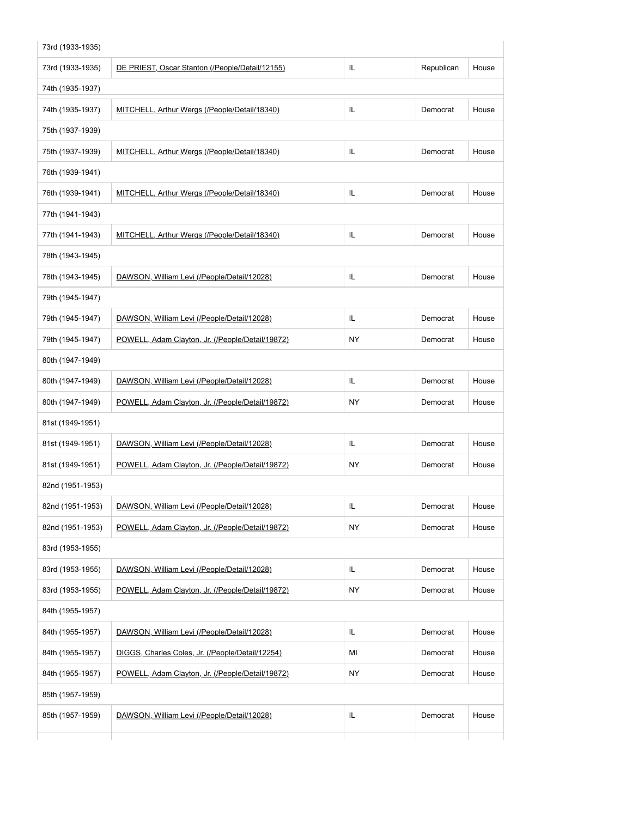| 73rd (1933-1935) |                                                  |     |            |       |
|------------------|--------------------------------------------------|-----|------------|-------|
| 73rd (1933-1935) | DE PRIEST, Oscar Stanton (/People/Detail/12155)  | IL  | Republican | House |
| 74th (1935-1937) |                                                  |     |            |       |
| 74th (1935-1937) | MITCHELL, Arthur Wergs (/People/Detail/18340)    | IL  | Democrat   | House |
| 75th (1937-1939) |                                                  |     |            |       |
| 75th (1937-1939) | MITCHELL, Arthur Wergs (/People/Detail/18340)    | IL  | Democrat   | House |
| 76th (1939-1941) |                                                  |     |            |       |
| 76th (1939-1941) | MITCHELL, Arthur Wergs (/People/Detail/18340)    | IL  | Democrat   | House |
| 77th (1941-1943) |                                                  |     |            |       |
| 77th (1941-1943) | MITCHELL, Arthur Wergs (/People/Detail/18340)    | IL  | Democrat   | House |
| 78th (1943-1945) |                                                  |     |            |       |
| 78th (1943-1945) | DAWSON, William Levi (/People/Detail/12028)      | IL  | Democrat   | House |
| 79th (1945-1947) |                                                  |     |            |       |
| 79th (1945-1947) | DAWSON, William Levi (/People/Detail/12028)      | IL  | Democrat   | House |
| 79th (1945-1947) | POWELL, Adam Clayton, Jr. (/People/Detail/19872) | NY. | Democrat   | House |
| 80th (1947-1949) |                                                  |     |            |       |
| 80th (1947-1949) | DAWSON, William Levi (/People/Detail/12028)      | IL. | Democrat   | House |
| 80th (1947-1949) | POWELL, Adam Clayton, Jr. (/People/Detail/19872) | NY  | Democrat   | House |
| 81st (1949-1951) |                                                  |     |            |       |
| 81st (1949-1951) | DAWSON, William Levi (/People/Detail/12028)      | IL  | Democrat   | House |
| 81st (1949-1951) | POWELL, Adam Clayton, Jr. (/People/Detail/19872) | NY  | Democrat   | House |
| 82nd (1951-1953) |                                                  |     |            |       |
| 82nd (1951-1953) | DAWSON, William Levi (/People/Detail/12028)      | IL. | Democrat   | House |
| 82nd (1951-1953) | POWELL, Adam Clayton, Jr. (/People/Detail/19872) | NY. | Democrat   | House |
| 83rd (1953-1955) |                                                  |     |            |       |
| 83rd (1953-1955) | DAWSON, William Levi (/People/Detail/12028)      | IL. | Democrat   | House |
| 83rd (1953-1955) | POWELL, Adam Clayton, Jr. (/People/Detail/19872) | NY  | Democrat   | House |
| 84th (1955-1957) |                                                  |     |            |       |
| 84th (1955-1957) | DAWSON, William Levi (/People/Detail/12028)      | IL. | Democrat   | House |
| 84th (1955-1957) | DIGGS, Charles Coles, Jr. (/People/Detail/12254) | MI  | Democrat   | House |
| 84th (1955-1957) | POWELL, Adam Clayton, Jr. (/People/Detail/19872) | NY  | Democrat   | House |
| 85th (1957-1959) |                                                  |     |            |       |
| 85th (1957-1959) | DAWSON, William Levi (/People/Detail/12028)      | IL. | Democrat   | House |
|                  |                                                  |     |            |       |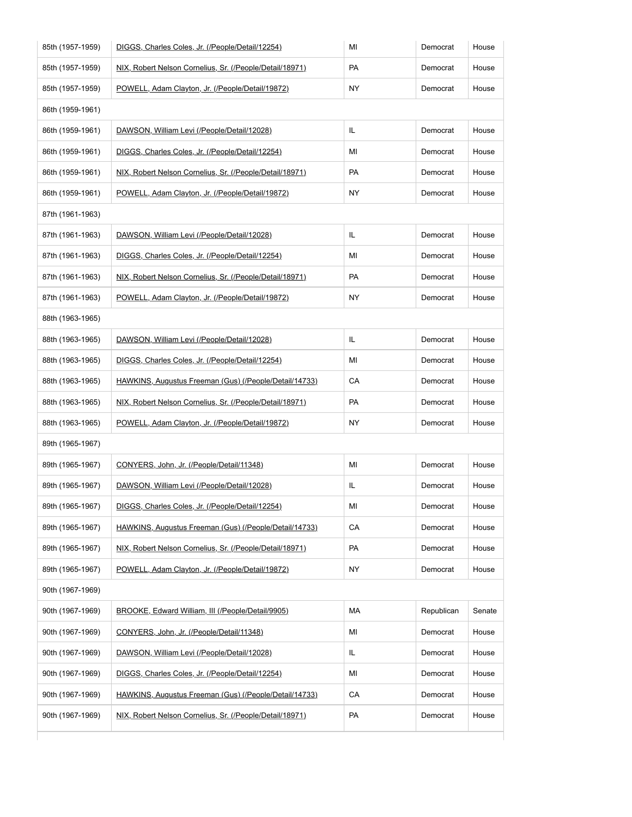| 85th (1957-1959) | DIGGS, Charles Coles, Jr. (/People/Detail/12254)         | MI        | Democrat   | House  |
|------------------|----------------------------------------------------------|-----------|------------|--------|
| 85th (1957-1959) | NIX, Robert Nelson Cornelius, Sr. (/People/Detail/18971) | PA        | Democrat   | House  |
| 85th (1957-1959) | POWELL, Adam Clayton, Jr. (/People/Detail/19872)         | NY.       | Democrat   | House  |
| 86th (1959-1961) |                                                          |           |            |        |
| 86th (1959-1961) | DAWSON, William Levi (/People/Detail/12028)              | IL        | Democrat   | House  |
| 86th (1959-1961) | DIGGS, Charles Coles, Jr. (/People/Detail/12254)         | MI        | Democrat   | House  |
| 86th (1959-1961) | NIX, Robert Nelson Cornelius, Sr. (/People/Detail/18971) | PA        | Democrat   | House  |
| 86th (1959-1961) | POWELL, Adam Clayton, Jr. (/People/Detail/19872)         | <b>NY</b> | Democrat   | House  |
| 87th (1961-1963) |                                                          |           |            |        |
| 87th (1961-1963) | DAWSON, William Levi (/People/Detail/12028)              | IL        | Democrat   | House  |
| 87th (1961-1963) | DIGGS, Charles Coles, Jr. (/People/Detail/12254)         | MI        | Democrat   | House  |
| 87th (1961-1963) | NIX, Robert Nelson Cornelius, Sr. (/People/Detail/18971) | PA        | Democrat   | House  |
| 87th (1961-1963) | POWELL, Adam Clayton, Jr. (/People/Detail/19872)         | <b>NY</b> | Democrat   | House  |
| 88th (1963-1965) |                                                          |           |            |        |
| 88th (1963-1965) | DAWSON, William Levi (/People/Detail/12028)              | IL        | Democrat   | House  |
| 88th (1963-1965) | DIGGS, Charles Coles, Jr. (/People/Detail/12254)         | MI        | Democrat   | House  |
| 88th (1963-1965) | HAWKINS, Augustus Freeman (Gus) (/People/Detail/14733)   | CA        | Democrat   | House  |
| 88th (1963-1965) | NIX, Robert Nelson Cornelius, Sr. (/People/Detail/18971) | PA        | Democrat   | House  |
| 88th (1963-1965) | POWELL, Adam Clayton, Jr. (/People/Detail/19872)         | <b>NY</b> | Democrat   | House  |
| 89th (1965-1967) |                                                          |           |            |        |
| 89th (1965-1967) | CONYERS, John, Jr. (/People/Detail/11348)                | MI        | Democrat   | House  |
| 89th (1965-1967) | DAWSON, William Levi (/People/Detail/12028)              | IL        | Democrat   | House  |
| 89th (1965-1967) | DIGGS, Charles Coles, Jr. (/People/Detail/12254)         | MI        | Democrat   | House  |
| 89th (1965-1967) | HAWKINS, Augustus Freeman (Gus) (/People/Detail/14733)   | CA        | Democrat   | House  |
| 89th (1965-1967) | NIX, Robert Nelson Cornelius, Sr. (/People/Detail/18971) | PA        | Democrat   | House  |
| 89th (1965-1967) | POWELL, Adam Clayton, Jr. (/People/Detail/19872)         | <b>NY</b> | Democrat   | House  |
| 90th (1967-1969) |                                                          |           |            |        |
| 90th (1967-1969) | BROOKE, Edward William, III (/People/Detail/9905)        | MA        | Republican | Senate |
| 90th (1967-1969) | CONYERS, John, Jr. (/People/Detail/11348)                | MI        | Democrat   | House  |
| 90th (1967-1969) | DAWSON, William Levi (/People/Detail/12028)              | IL        | Democrat   | House  |
| 90th (1967-1969) | DIGGS, Charles Coles, Jr. (/People/Detail/12254)         | MI        | Democrat   | House  |
| 90th (1967-1969) | HAWKINS, Augustus Freeman (Gus) (/People/Detail/14733)   | CA        | Democrat   | House  |
| 90th (1967-1969) | NIX, Robert Nelson Cornelius, Sr. (/People/Detail/18971) | PA        | Democrat   | House  |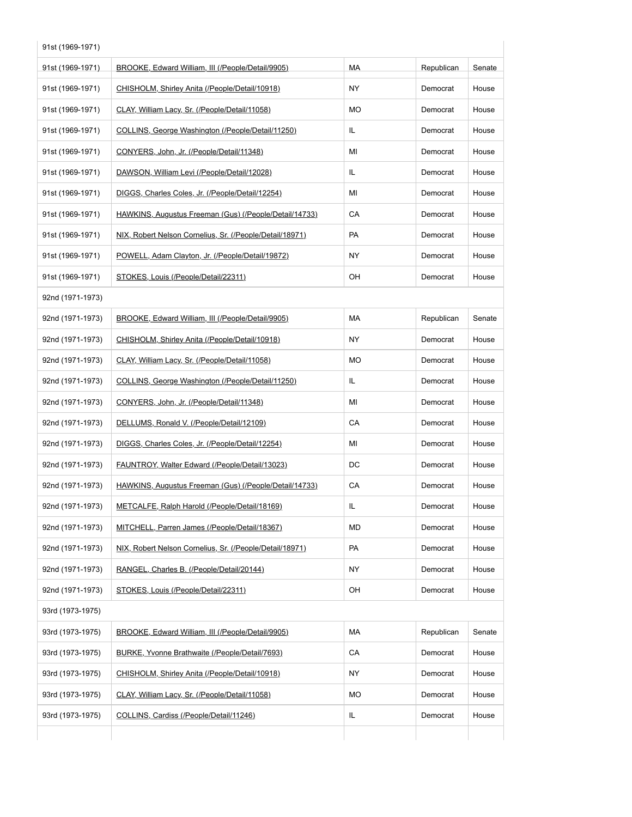| 91st (1969-1971) |                                                          |     |            |        |  |
|------------------|----------------------------------------------------------|-----|------------|--------|--|
| 91st (1969-1971) | BROOKE, Edward William, III (/People/Detail/9905)        | MA  | Republican | Senate |  |
| 91st (1969-1971) | CHISHOLM, Shirley Anita (/People/Detail/10918)           | ΝY  | Democrat   | House  |  |
| 91st (1969-1971) | CLAY, William Lacy, Sr. (/People/Detail/11058)           | MO  | Democrat   | House  |  |
| 91st (1969-1971) | COLLINS, George Washington (/People/Detail/11250)        | IL  | Democrat   | House  |  |
| 91st (1969-1971) | CONYERS, John, Jr. (/People/Detail/11348)                | ΜI  | Democrat   | House  |  |
| 91st (1969-1971) | DAWSON, William Levi (/People/Detail/12028)              | IL  | Democrat   | House  |  |
| 91st (1969-1971) | DIGGS, Charles Coles, Jr. (/People/Detail/12254)         | MI  | Democrat   | House  |  |
| 91st (1969-1971) | HAWKINS, Augustus Freeman (Gus) (/People/Detail/14733)   | CA  | Democrat   | House  |  |
| 91st (1969-1971) | NIX, Robert Nelson Cornelius, Sr. (/People/Detail/18971) | PA  | Democrat   | House  |  |
| 91st (1969-1971) | POWELL, Adam Clayton, Jr. (/People/Detail/19872)         | ΝY  | Democrat   | House  |  |
| 91st (1969-1971) | STOKES, Louis (/People/Detail/22311)                     | OH  | Democrat   | House  |  |
| 92nd (1971-1973) |                                                          |     |            |        |  |
| 92nd (1971-1973) | BROOKE, Edward William, III (/People/Detail/9905)        | МA  | Republican | Senate |  |
| 92nd (1971-1973) | CHISHOLM, Shirley Anita (/People/Detail/10918)           | ΝY  | Democrat   | House  |  |
| 92nd (1971-1973) | CLAY, William Lacy, Sr. (/People/Detail/11058)           | MO  | Democrat   | House  |  |
| 92nd (1971-1973) | COLLINS, George Washington (/People/Detail/11250)        | IL. | Democrat   | House  |  |
| 92nd (1971-1973) | CONYERS, John, Jr. (/People/Detail/11348)                | ΜI  | Democrat   | House  |  |
| 92nd (1971-1973) | DELLUMS, Ronald V. (/People/Detail/12109)                | CA  | Democrat   | House  |  |
| 92nd (1971-1973) | DIGGS, Charles Coles, Jr. (/People/Detail/12254)         | ΜI  | Democrat   | House  |  |
| 92nd (1971-1973) | FAUNTROY, Walter Edward (/People/Detail/13023)           | DC  | Democrat   | House  |  |
| 92nd (1971-1973) | HAWKINS, Augustus Freeman (Gus) (/People/Detail/14733)   | CA  | Democrat   | House  |  |
| 92nd (1971-1973) | METCALFE, Ralph Harold (/People/Detail/18169)            | IL. | Democrat   | House  |  |
| 92nd (1971-1973) | MITCHELL. Parren James (/People/Detail/18367)            | MD  | Democrat   | House  |  |
| 92nd (1971-1973) | NIX, Robert Nelson Cornelius, Sr. (/People/Detail/18971) | PA  | Democrat   | House  |  |
| 92nd (1971-1973) | RANGEL, Charles B. (/People/Detail/20144)                | NY  | Democrat   | House  |  |
| 92nd (1971-1973) | STOKES, Louis (/People/Detail/22311)                     | OH  | Democrat   | House  |  |
| 93rd (1973-1975) |                                                          |     |            |        |  |
| 93rd (1973-1975) | BROOKE, Edward William, III (/People/Detail/9905)        | МA  | Republican | Senate |  |
| 93rd (1973-1975) | BURKE, Yvonne Brathwaite (/People/Detail/7693)           | CA  | Democrat   | House  |  |
| 93rd (1973-1975) | CHISHOLM, Shirley Anita (/People/Detail/10918)           | ΝY  | Democrat   | House  |  |
| 93rd (1973-1975) | CLAY, William Lacy, Sr. (/People/Detail/11058)           | MO  | Democrat   | House  |  |
| 93rd (1973-1975) | COLLINS, Cardiss (/People/Detail/11246)                  | IL. | Democrat   | House  |  |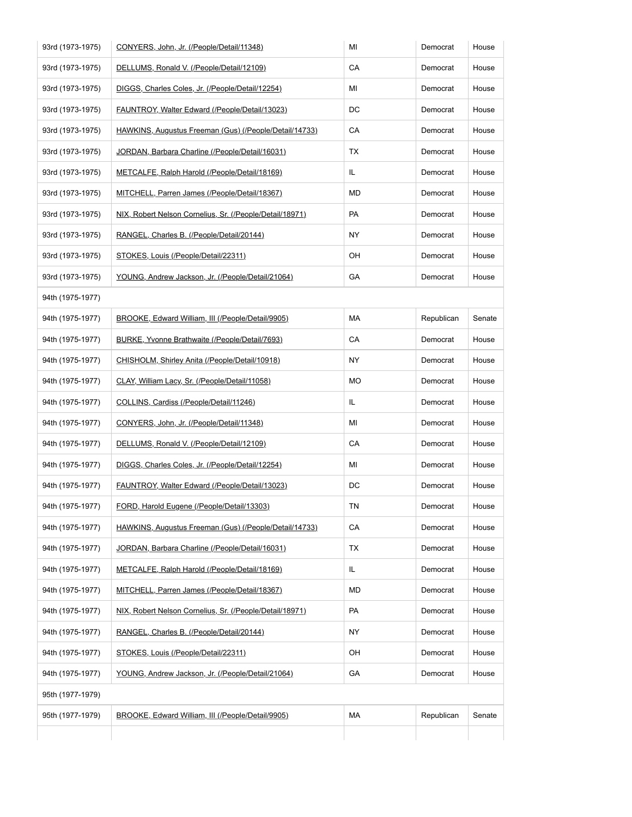| 93rd (1973-1975) | CONYERS, John, Jr. (/People/Detail/11348)                | MI        | Democrat   | House  |
|------------------|----------------------------------------------------------|-----------|------------|--------|
| 93rd (1973-1975) | DELLUMS, Ronald V. (/People/Detail/12109)                | СA        | Democrat   | House  |
| 93rd (1973-1975) | DIGGS, Charles Coles, Jr. (/People/Detail/12254)         | MI        | Democrat   | House  |
| 93rd (1973-1975) | FAUNTROY, Walter Edward (/People/Detail/13023)           | DC        | Democrat   | House  |
| 93rd (1973-1975) | HAWKINS, Augustus Freeman (Gus) (/People/Detail/14733)   | СA        | Democrat   | House  |
| 93rd (1973-1975) | JORDAN, Barbara Charline (/People/Detail/16031)          | TX        | Democrat   | House  |
| 93rd (1973-1975) | METCALFE, Ralph Harold (/People/Detail/18169)            | IL.       | Democrat   | House  |
| 93rd (1973-1975) | MITCHELL, Parren James (/People/Detail/18367)            | MD        | Democrat   | House  |
| 93rd (1973-1975) | NIX, Robert Nelson Cornelius, Sr. (/People/Detail/18971) | PA        | Democrat   | House  |
| 93rd (1973-1975) | RANGEL, Charles B. (/People/Detail/20144)                | NY.       | Democrat   | House  |
| 93rd (1973-1975) | STOKES, Louis (/People/Detail/22311)                     | OН        | Democrat   | House  |
| 93rd (1973-1975) | YOUNG, Andrew Jackson, Jr. (/People/Detail/21064)        | GA        | Democrat   | House  |
| 94th (1975-1977) |                                                          |           |            |        |
| 94th (1975-1977) | BROOKE, Edward William, III (/People/Detail/9905)        | МA        | Republican | Senate |
| 94th (1975-1977) | BURKE, Yvonne Brathwaite (/People/Detail/7693)           | СA        | Democrat   | House  |
| 94th (1975-1977) | CHISHOLM, Shirley Anita (/People/Detail/10918)           | NY.       | Democrat   | House  |
| 94th (1975-1977) | CLAY, William Lacy, Sr. (/People/Detail/11058)           | МO        | Democrat   | House  |
| 94th (1975-1977) | COLLINS, Cardiss (/People/Detail/11246)                  | IL.       | Democrat   | House  |
| 94th (1975-1977) | CONYERS, John, Jr. (/People/Detail/11348)                | MI        | Democrat   | House  |
| 94th (1975-1977) | DELLUMS, Ronald V. (/People/Detail/12109)                | CA        | Democrat   | House  |
| 94th (1975-1977) | DIGGS, Charles Coles, Jr. (/People/Detail/12254)         | MI        | Democrat   | House  |
| 94th (1975-1977) | FAUNTROY, Walter Edward (/People/Detail/13023)           | DC        | Democrat   | House  |
| 94th (1975-1977) | FORD, Harold Eugene (/People/Detail/13303)               | ΤN        | Democrat   | House  |
| 94th (1975-1977) | HAWKINS, Augustus Freeman (Gus) (/People/Detail/14733)   | CA        | Democrat   | House  |
| 94th (1975-1977) | JORDAN, Barbara Charline (/People/Detail/16031)          | TX        | Democrat   | House  |
| 94th (1975-1977) | METCALFE, Ralph Harold (/People/Detail/18169)            | IL.       | Democrat   | House  |
| 94th (1975-1977) | MITCHELL, Parren James (/People/Detail/18367)            | MD        | Democrat   | House  |
| 94th (1975-1977) | NIX, Robert Nelson Cornelius, Sr. (/People/Detail/18971) | <b>PA</b> | Democrat   | House  |
| 94th (1975-1977) | RANGEL, Charles B. (/People/Detail/20144)                | NY.       | Democrat   | House  |
| 94th (1975-1977) | STOKES, Louis (/People/Detail/22311)                     | OH        | Democrat   | House  |
| 94th (1975-1977) | YOUNG, Andrew Jackson, Jr. (/People/Detail/21064)        | GА        | Democrat   | House  |
| 95th (1977-1979) |                                                          |           |            |        |
| 95th (1977-1979) | BROOKE, Edward William, III (/People/Detail/9905)        | МA        | Republican | Senate |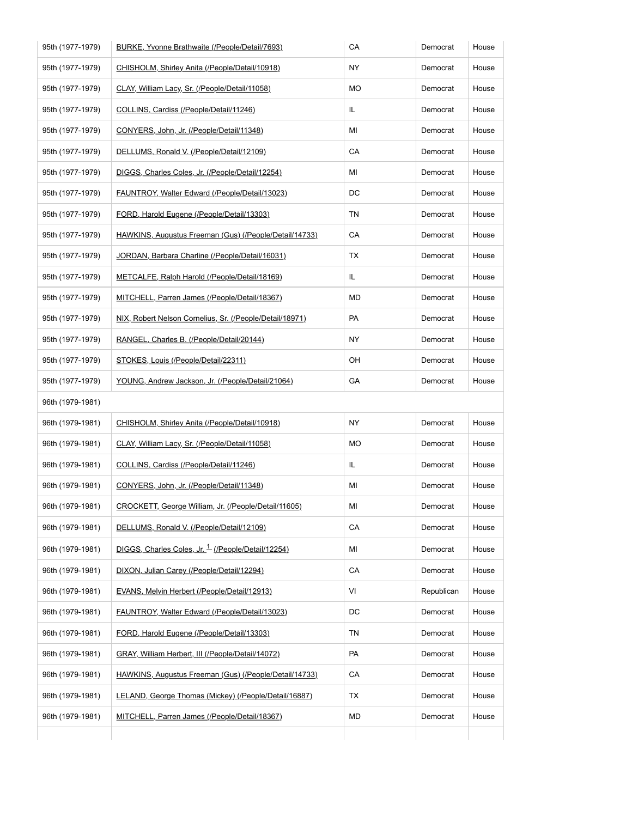| 95th (1977-1979) | BURKE, Yvonne Brathwaite (/People/Detail/7693)                | CA        | Democrat   | House |
|------------------|---------------------------------------------------------------|-----------|------------|-------|
| 95th (1977-1979) | CHISHOLM, Shirley Anita (/People/Detail/10918)                | NY        | Democrat   | House |
| 95th (1977-1979) | CLAY, William Lacy, Sr. (/People/Detail/11058)                | МO        | Democrat   | House |
| 95th (1977-1979) | COLLINS, Cardiss (/People/Detail/11246)                       | IL        | Democrat   | House |
| 95th (1977-1979) | CONYERS, John, Jr. (/People/Detail/11348)                     | ΜI        | Democrat   | House |
| 95th (1977-1979) | DELLUMS, Ronald V. (/People/Detail/12109)                     | CA        | Democrat   | House |
| 95th (1977-1979) | DIGGS, Charles Coles, Jr. (/People/Detail/12254)              | ΜI        | Democrat   | House |
| 95th (1977-1979) | FAUNTROY, Walter Edward (/People/Detail/13023)                | DC        | Democrat   | House |
| 95th (1977-1979) | FORD, Harold Eugene (/People/Detail/13303)                    | ΤN        | Democrat   | House |
| 95th (1977-1979) | HAWKINS, Augustus Freeman (Gus) (/People/Detail/14733)        | СA        | Democrat   | House |
| 95th (1977-1979) | JORDAN, Barbara Charline (/People/Detail/16031)               | TX        | Democrat   | House |
| 95th (1977-1979) | METCALFE, Ralph Harold (/People/Detail/18169)                 | IL        | Democrat   | House |
| 95th (1977-1979) | MITCHELL, Parren James (/People/Detail/18367)                 | MD        | Democrat   | House |
| 95th (1977-1979) | NIX, Robert Nelson Cornelius, Sr. (/People/Detail/18971)      | PA        | Democrat   | House |
| 95th (1977-1979) | RANGEL, Charles B. (/People/Detail/20144)                     | NY        | Democrat   | House |
| 95th (1977-1979) | STOKES, Louis (/People/Detail/22311)                          | OH        | Democrat   | House |
| 95th (1977-1979) | YOUNG, Andrew Jackson, Jr. (/People/Detail/21064)             | GА        | Democrat   | House |
| 96th (1979-1981) |                                                               |           |            |       |
| 96th (1979-1981) | CHISHOLM, Shirley Anita (/People/Detail/10918)                | <b>NY</b> | Democrat   | House |
| 96th (1979-1981) | CLAY, William Lacy, Sr. (/People/Detail/11058)                | МO        | Democrat   | House |
| 96th (1979-1981) | COLLINS, Cardiss (/People/Detail/11246)                       | IL        | Democrat   | House |
| 96th (1979-1981) | CONYERS, John, Jr. (/People/Detail/11348)                     | МI        | Democrat   | House |
| 96th (1979-1981) | CROCKETT, George William, Jr. (/People/Detail/11605)          | ΜI        | Democrat   | House |
| 96th (1979-1981) | DELLUMS, Ronald V. (/People/Detail/12109)                     | CA        | Democrat   | House |
| 96th (1979-1981) | DIGGS, Charles Coles, Jr. <sup>1</sup> (/People/Detail/12254) | ΜI        | Democrat   | House |
| 96th (1979-1981) | DIXON, Julian Carey (/People/Detail/12294)                    | CA        | Democrat   | House |
| 96th (1979-1981) | EVANS, Melvin Herbert (/People/Detail/12913)                  | VI        | Republican | House |
| 96th (1979-1981) | FAUNTROY, Walter Edward (/People/Detail/13023)                | DC        | Democrat   | House |
| 96th (1979-1981) | FORD, Harold Eugene (/People/Detail/13303)                    | ΤN        | Democrat   | House |
| 96th (1979-1981) | GRAY, William Herbert, III (/People/Detail/14072)             | PA        | Democrat   | House |
| 96th (1979-1981) | HAWKINS, Augustus Freeman (Gus) (/People/Detail/14733)        | CA        | Democrat   | House |
| 96th (1979-1981) | LELAND, George Thomas (Mickey) (/People/Detail/16887)         | <b>TX</b> | Democrat   | House |
|                  |                                                               |           |            | House |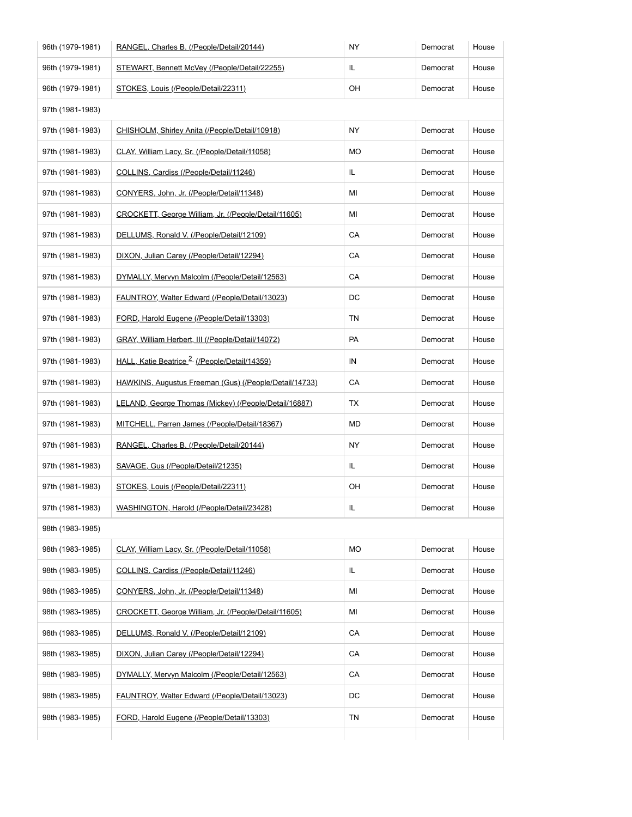| 96th (1979-1981) | RANGEL, Charles B. (/People/Detail/20144)                | <b>NY</b> | Democrat | House |
|------------------|----------------------------------------------------------|-----------|----------|-------|
| 96th (1979-1981) | STEWART, Bennett McVey (/People/Detail/22255)            | IL.       | Democrat | House |
| 96th (1979-1981) | STOKES, Louis (/People/Detail/22311)                     | OH        | Democrat | House |
| 97th (1981-1983) |                                                          |           |          |       |
| 97th (1981-1983) | CHISHOLM, Shirley Anita (/People/Detail/10918)           | NY.       | Democrat | House |
| 97th (1981-1983) | CLAY, William Lacy, Sr. (/People/Detail/11058)           | MO        | Democrat | House |
| 97th (1981-1983) | COLLINS, Cardiss (/People/Detail/11246)                  | IL.       | Democrat | House |
| 97th (1981-1983) | CONYERS, John, Jr. (/People/Detail/11348)                | MI        | Democrat | House |
| 97th (1981-1983) | CROCKETT, George William, Jr. (/People/Detail/11605)     | MI        | Democrat | House |
| 97th (1981-1983) | DELLUMS, Ronald V. (/People/Detail/12109)                | CA        | Democrat | House |
| 97th (1981-1983) | DIXON, Julian Carey (/People/Detail/12294)               | CA        | Democrat | House |
| 97th (1981-1983) | DYMALLY, Mervyn Malcolm (/People/Detail/12563)           | CA        | Democrat | House |
| 97th (1981-1983) | FAUNTROY, Walter Edward (/People/Detail/13023)           | DC        | Democrat | House |
| 97th (1981-1983) | FORD, Harold Eugene (/People/Detail/13303)               | TN        | Democrat | House |
| 97th (1981-1983) | GRAY, William Herbert, III (/People/Detail/14072)        | PA        | Democrat | House |
| 97th (1981-1983) | HALL, Katie Beatrice <sup>2</sup> (/People/Detail/14359) | IN        | Democrat | House |
| 97th (1981-1983) | HAWKINS, Augustus Freeman (Gus) (/People/Detail/14733)   | CA        | Democrat | House |
| 97th (1981-1983) | LELAND, George Thomas (Mickey) (/People/Detail/16887)    | ТX        | Democrat | House |
| 97th (1981-1983) | MITCHELL, Parren James (/People/Detail/18367)            | MD        | Democrat | House |
| 97th (1981-1983) | RANGEL, Charles B. (/People/Detail/20144)                | NY.       | Democrat | House |
| 97th (1981-1983) | SAVAGE, Gus (/People/Detail/21235)                       | IL.       | Democrat | House |
| 97th (1981-1983) | STOKES, Louis (/People/Detail/22311)                     | OH        | Democrat | House |
| 97th (1981-1983) | WASHINGTON, Harold (/People/Detail/23428)                | IL        | Democrat | House |
| 98th (1983-1985) |                                                          |           |          |       |
| 98th (1983-1985) | CLAY, William Lacy, Sr. (/People/Detail/11058)           | MO        | Democrat | House |
| 98th (1983-1985) | COLLINS, Cardiss (/People/Detail/11246)                  | IL        | Democrat | House |
| 98th (1983-1985) | CONYERS, John, Jr. (/People/Detail/11348)                | ΜI        | Democrat | House |
| 98th (1983-1985) | CROCKETT, George William, Jr. (/People/Detail/11605)     | MI        | Democrat | House |
| 98th (1983-1985) | DELLUMS, Ronald V. (/People/Detail/12109)                | CA        | Democrat | House |
| 98th (1983-1985) | DIXON, Julian Carey (/People/Detail/12294)               | CA        | Democrat | House |
| 98th (1983-1985) | DYMALLY, Mervyn Malcolm (/People/Detail/12563)           | CA        | Democrat | House |
| 98th (1983-1985) | FAUNTROY, Walter Edward (/People/Detail/13023)           | DC        | Democrat | House |
| 98th (1983-1985) | FORD, Harold Eugene (/People/Detail/13303)               | ΤN        | Democrat | House |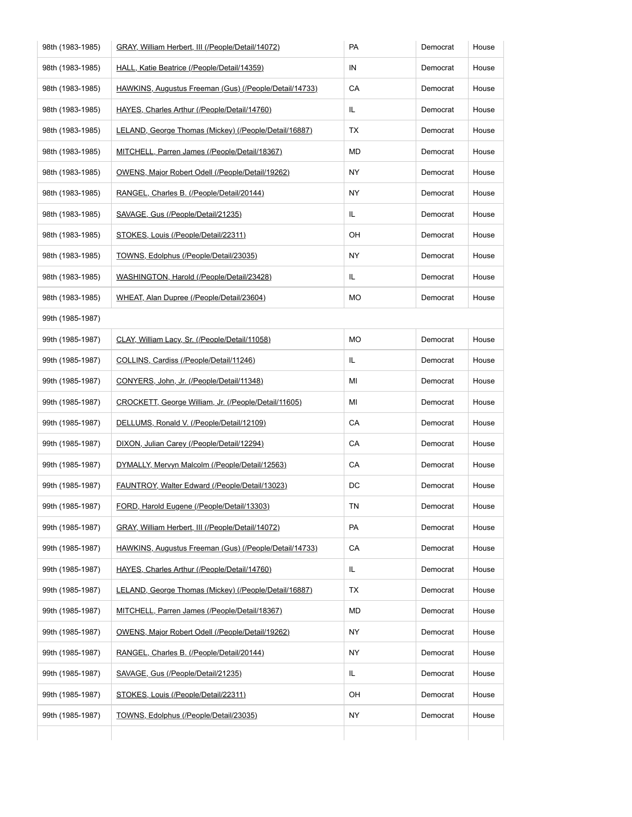| 98th (1983-1985) | GRAY, William Herbert, III (/People/Detail/14072)      | PA        | Democrat | House |
|------------------|--------------------------------------------------------|-----------|----------|-------|
| 98th (1983-1985) | HALL, Katie Beatrice (/People/Detail/14359)            | IN        | Democrat | House |
| 98th (1983-1985) | HAWKINS, Augustus Freeman (Gus) (/People/Detail/14733) | CA        | Democrat | House |
| 98th (1983-1985) | HAYES, Charles Arthur (/People/Detail/14760)           | IL        | Democrat | House |
| 98th (1983-1985) | LELAND, George Thomas (Mickey) (/People/Detail/16887)  | ТX        | Democrat | House |
| 98th (1983-1985) | MITCHELL, Parren James (/People/Detail/18367)          | MD        | Democrat | House |
| 98th (1983-1985) | OWENS, Major Robert Odell (/People/Detail/19262)       | ΝY        | Democrat | House |
| 98th (1983-1985) | RANGEL, Charles B. (/People/Detail/20144)              | NY        | Democrat | House |
| 98th (1983-1985) | SAVAGE, Gus (/People/Detail/21235)                     | IL        | Democrat | House |
| 98th (1983-1985) | STOKES, Louis (/People/Detail/22311)                   | OН        | Democrat | House |
| 98th (1983-1985) | TOWNS, Edolphus (/People/Detail/23035)                 | <b>NY</b> | Democrat | House |
| 98th (1983-1985) | WASHINGTON, Harold (/People/Detail/23428)              | IL.       | Democrat | House |
| 98th (1983-1985) | WHEAT, Alan Dupree (/People/Detail/23604)              | МO        | Democrat | House |
| 99th (1985-1987) |                                                        |           |          |       |
| 99th (1985-1987) | CLAY, William Lacy, Sr. (/People/Detail/11058)         | MO        | Democrat | House |
| 99th (1985-1987) | COLLINS, Cardiss (/People/Detail/11246)                | IL        | Democrat | House |
| 99th (1985-1987) | CONYERS, John, Jr. (/People/Detail/11348)              | ΜI        | Democrat | House |
| 99th (1985-1987) | CROCKETT, George William, Jr. (/People/Detail/11605)   | ΜI        | Democrat | House |
| 99th (1985-1987) | DELLUMS, Ronald V. (/People/Detail/12109)              | CA        | Democrat | House |
| 99th (1985-1987) | DIXON, Julian Carey (/People/Detail/12294)             | CA        | Democrat | House |
| 99th (1985-1987) | DYMALLY, Mervyn Malcolm (/People/Detail/12563)         | CA        | Democrat | House |
| 99th (1985-1987) | FAUNTROY, Walter Edward (/People/Detail/13023)         | DC        | Democrat | House |
| 99th (1985-1987) | FORD, Harold Eugene (/People/Detail/13303)             | <b>TN</b> | Democrat | House |
| 99th (1985-1987) | GRAY, William Herbert, III (/People/Detail/14072)      | PA        | Democrat | House |
| 99th (1985-1987) | HAWKINS, Augustus Freeman (Gus) (/People/Detail/14733) | CA        | Democrat | House |
| 99th (1985-1987) | HAYES, Charles Arthur (/People/Detail/14760)           | IL        | Democrat | House |
| 99th (1985-1987) | LELAND, George Thomas (Mickey) (/People/Detail/16887)  | ТX        | Democrat | House |
| 99th (1985-1987) | MITCHELL, Parren James (/People/Detail/18367)          | MD        | Democrat | House |
| 99th (1985-1987) | OWENS, Major Robert Odell (/People/Detail/19262)       | ΝY        | Democrat | House |
| 99th (1985-1987) | RANGEL, Charles B. (/People/Detail/20144)              | NY        | Democrat | House |
| 99th (1985-1987) | SAVAGE, Gus (/People/Detail/21235)                     | IL.       | Democrat | House |
| 99th (1985-1987) | STOKES, Louis (/People/Detail/22311)                   | OН        | Democrat | House |
|                  | TOWNS, Edolphus (/People/Detail/23035)                 | NY        | Democrat | House |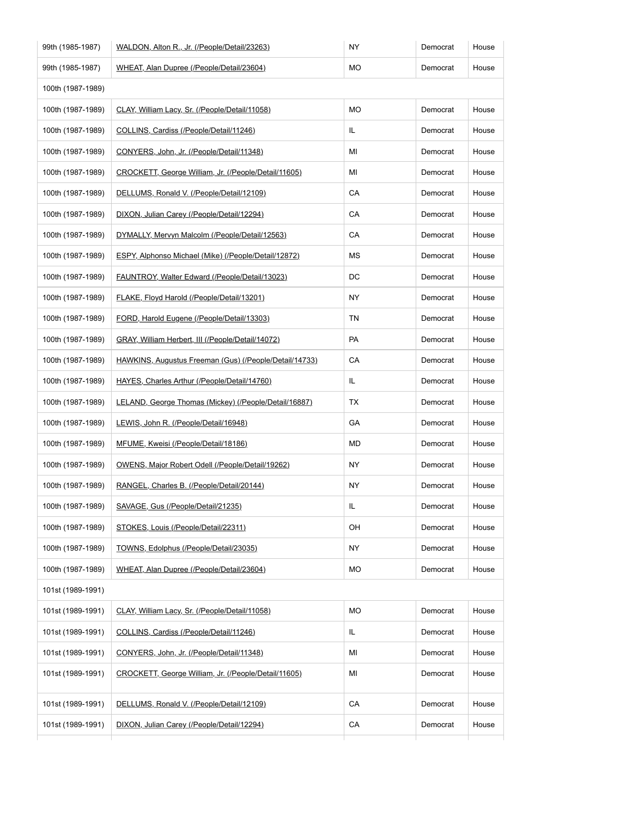| 99th (1985-1987)  | WALDON, Alton R., Jr. (/People/Detail/23263)           | NY  | Democrat | House |
|-------------------|--------------------------------------------------------|-----|----------|-------|
| 99th (1985-1987)  | WHEAT, Alan Dupree (/People/Detail/23604)              | МO  | Democrat | House |
| 100th (1987-1989) |                                                        |     |          |       |
| 100th (1987-1989) | CLAY, William Lacy, Sr. (/People/Detail/11058)         | MO  | Democrat | House |
| 100th (1987-1989) | COLLINS, Cardiss (/People/Detail/11246)                | IL  | Democrat | House |
| 100th (1987-1989) | CONYERS, John, Jr. (/People/Detail/11348)              | ΜI  | Democrat | House |
| 100th (1987-1989) | CROCKETT, George William, Jr. (/People/Detail/11605)   | ΜI  | Democrat | House |
| 100th (1987-1989) | DELLUMS, Ronald V. (/People/Detail/12109)              | CA  | Democrat | House |
| 100th (1987-1989) | DIXON, Julian Carey (/People/Detail/12294)             | СA  | Democrat | House |
| 100th (1987-1989) | DYMALLY, Mervyn Malcolm (/People/Detail/12563)         | СA  | Democrat | House |
| 100th (1987-1989) | ESPY, Alphonso Michael (Mike) (/People/Detail/12872)   | ΜS  | Democrat | House |
| 100th (1987-1989) | FAUNTROY, Walter Edward (/People/Detail/13023)         | DC  | Democrat | House |
| 100th (1987-1989) | FLAKE, Floyd Harold (/People/Detail/13201)             | NY. | Democrat | House |
| 100th (1987-1989) | FORD, Harold Eugene (/People/Detail/13303)             | ΤN  | Democrat | House |
| 100th (1987-1989) | GRAY, William Herbert, III (/People/Detail/14072)      | PA  | Democrat | House |
| 100th (1987-1989) | HAWKINS, Augustus Freeman (Gus) (/People/Detail/14733) | СA  | Democrat | House |
| 100th (1987-1989) | HAYES, Charles Arthur (/People/Detail/14760)           | IL. | Democrat | House |
| 100th (1987-1989) | LELAND, George Thomas (Mickey) (/People/Detail/16887)  | ТX  | Democrat | House |
| 100th (1987-1989) | LEWIS, John R. (/People/Detail/16948)                  | GA  | Democrat | House |
| 100th (1987-1989) | MFUME, Kweisi (/People/Detail/18186)                   | MD  | Democrat | House |
| 100th (1987-1989) | OWENS, Major Robert Odell (/People/Detail/19262)       | NY. | Democrat | House |
| 100th (1987-1989) | RANGEL, Charles B. (/People/Detail/20144)              | ΝY  | Democrat | House |
| 100th (1987-1989) | SAVAGE, Gus (/People/Detail/21235)                     | IL. | Democrat | House |
| 100th (1987-1989) | STOKES, Louis (/People/Detail/22311)                   | OH  | Democrat | House |
| 100th (1987-1989) | TOWNS, Edolphus (/People/Detail/23035)                 | NY. | Democrat | House |
| 100th (1987-1989) | WHEAT, Alan Dupree (/People/Detail/23604)              | MO  | Democrat | House |
| 101st (1989-1991) |                                                        |     |          |       |
| 101st (1989-1991) | CLAY, William Lacy, Sr. (/People/Detail/11058)         | MO  | Democrat | House |
| 101st (1989-1991) | COLLINS, Cardiss (/People/Detail/11246)                | IL. | Democrat | House |
| 101st (1989-1991) | CONYERS, John, Jr. (/People/Detail/11348)              | ΜI  | Democrat | House |
| 101st (1989-1991) | CROCKETT, George William, Jr. (/People/Detail/11605)   | MI  | Democrat | House |
| 101st (1989-1991) | DELLUMS, Ronald V. (/People/Detail/12109)              | CA  | Democrat | House |
| 101st (1989-1991) | DIXON, Julian Carey (/People/Detail/12294)             | CA  | Democrat | House |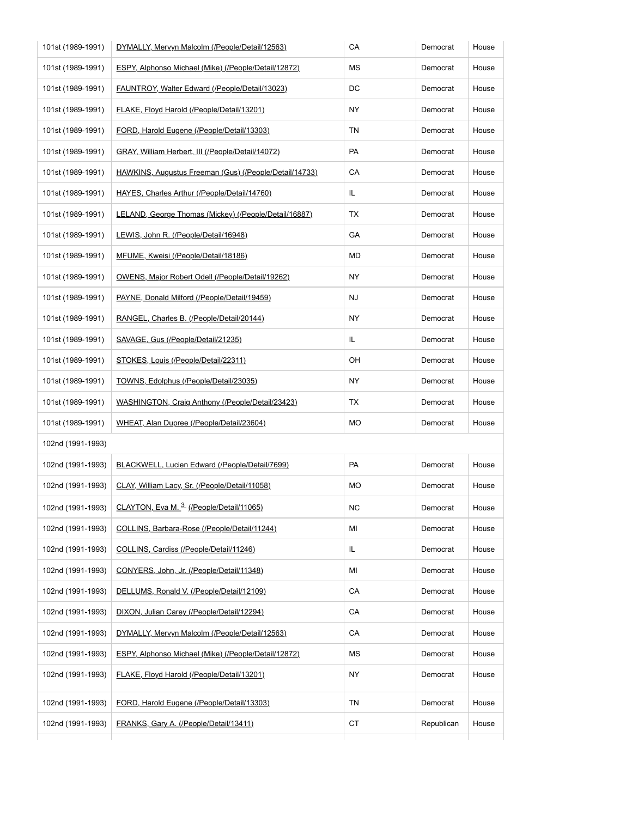| 101st (1989-1991) | DYMALLY, Mervyn Malcolm (/People/Detail/12563)         | СA        | Democrat   | House |
|-------------------|--------------------------------------------------------|-----------|------------|-------|
| 101st (1989-1991) | ESPY, Alphonso Michael (Mike) (/People/Detail/12872)   | МS        | Democrat   | House |
| 101st (1989-1991) | FAUNTROY, Walter Edward (/People/Detail/13023)         | DC        | Democrat   | House |
| 101st (1989-1991) | FLAKE, Floyd Harold (/People/Detail/13201)             | ΝY        | Democrat   | House |
| 101st (1989-1991) | FORD, Harold Eugene (/People/Detail/13303)             | TN        | Democrat   | House |
| 101st (1989-1991) | GRAY, William Herbert, III (/People/Detail/14072)      | PA        | Democrat   | House |
| 101st (1989-1991) | HAWKINS, Augustus Freeman (Gus) (/People/Detail/14733) | СA        | Democrat   | House |
| 101st (1989-1991) | HAYES, Charles Arthur (/People/Detail/14760)           | IL.       | Democrat   | House |
| 101st (1989-1991) | LELAND, George Thomas (Mickey) (/People/Detail/16887)  | ТX        | Democrat   | House |
| 101st (1989-1991) | LEWIS, John R. (/People/Detail/16948)                  | GА        | Democrat   | House |
| 101st (1989-1991) | MFUME, Kweisi (/People/Detail/18186)                   | <b>MD</b> | Democrat   | House |
| 101st (1989-1991) | OWENS, Major Robert Odell (/People/Detail/19262)       | NY        | Democrat   | House |
| 101st (1989-1991) | PAYNE, Donald Milford (/People/Detail/19459)           | NJ        | Democrat   | House |
| 101st (1989-1991) | RANGEL, Charles B. (/People/Detail/20144)              | NY        | Democrat   | House |
| 101st (1989-1991) | SAVAGE, Gus (/People/Detail/21235)                     | IL.       | Democrat   | House |
| 101st (1989-1991) | STOKES, Louis (/People/Detail/22311)                   | OH        | Democrat   | House |
| 101st (1989-1991) | TOWNS, Edolphus (/People/Detail/23035)                 | ΝY        | Democrat   | House |
| 101st (1989-1991) | WASHINGTON, Craig Anthony (/People/Detail/23423)       | ТX        | Democrat   | House |
| 101st (1989-1991) | WHEAT, Alan Dupree (/People/Detail/23604)              | <b>MO</b> | Democrat   | House |
| 102nd (1991-1993) |                                                        |           |            |       |
| 102nd (1991-1993) | BLACKWELL, Lucien Edward (/People/Detail/7699)         | PA        | Democrat   | House |
| 102nd (1991-1993) | CLAY, William Lacy, Sr. (/People/Detail/11058)         | MO        | Democrat   | House |
| 102nd (1991-1993) | CLAYTON, Eva M. 3 (/People/Detail/11065)               | ΝC        | Democrat   | House |
| 102nd (1991-1993) | COLLINS, Barbara-Rose (/People/Detail/11244)           | ΜI        | Democrat   | House |
| 102nd (1991-1993) | COLLINS, Cardiss (/People/Detail/11246)                | IL.       | Democrat   | House |
| 102nd (1991-1993) | CONYERS, John, Jr. (/People/Detail/11348)              | ΜI        | Democrat   | House |
| 102nd (1991-1993) | DELLUMS, Ronald V. (/People/Detail/12109)              | CA        | Democrat   | House |
| 102nd (1991-1993) | DIXON, Julian Carey (/People/Detail/12294)             | СA        | Democrat   | House |
| 102nd (1991-1993) | DYMALLY, Mervyn Malcolm (/People/Detail/12563)         | CA        | Democrat   | House |
| 102nd (1991-1993) | ESPY, Alphonso Michael (Mike) (/People/Detail/12872)   | МS        | Democrat   | House |
| 102nd (1991-1993) | FLAKE, Floyd Harold (/People/Detail/13201)             | NY.       | Democrat   | House |
| 102nd (1991-1993) | FORD, Harold Eugene (/People/Detail/13303)             | TN        | Democrat   | House |
| 102nd (1991-1993) | FRANKS, Gary A. (/People/Detail/13411)                 | <b>CT</b> | Republican | House |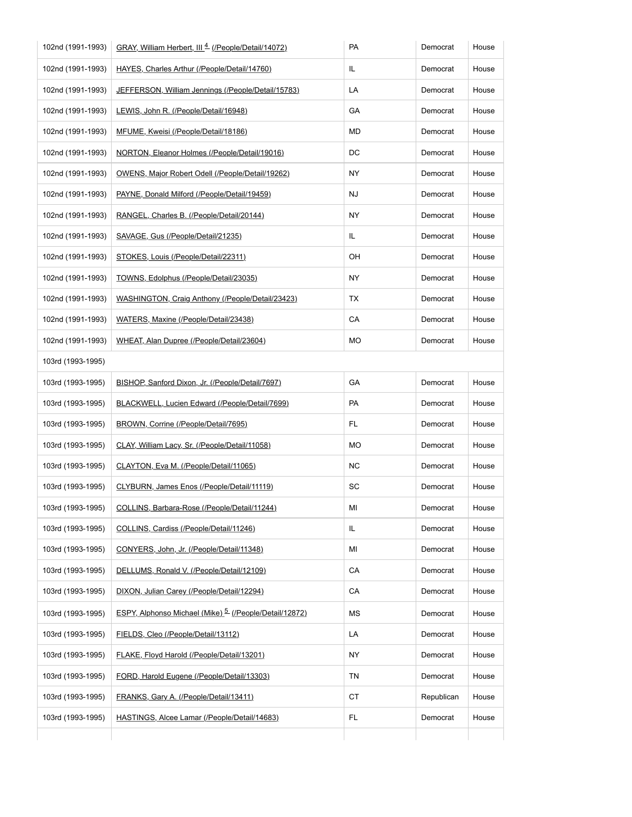| 102nd (1991-1993) | GRAY, William Herbert, III <sup>4</sup> (People/Detail/14072)     | PA        | Democrat   | House |  |
|-------------------|-------------------------------------------------------------------|-----------|------------|-------|--|
| 102nd (1991-1993) | HAYES, Charles Arthur (/People/Detail/14760)                      | IL.       | Democrat   | House |  |
| 102nd (1991-1993) | JEFFERSON, William Jennings (/People/Detail/15783)                | LA        | Democrat   | House |  |
| 102nd (1991-1993) | LEWIS, John R. (/People/Detail/16948)                             | GA        | Democrat   | House |  |
| 102nd (1991-1993) | MFUME, Kweisi (/People/Detail/18186)                              | MD        | Democrat   | House |  |
| 102nd (1991-1993) | NORTON, Eleanor Holmes (/People/Detail/19016)                     | DC        | Democrat   | House |  |
| 102nd (1991-1993) | OWENS, Major Robert Odell (/People/Detail/19262)                  | NY        | Democrat   | House |  |
| 102nd (1991-1993) | PAYNE, Donald Milford (/People/Detail/19459)                      | NJ        | Democrat   | House |  |
| 102nd (1991-1993) | RANGEL, Charles B. (/People/Detail/20144)                         | NY        | Democrat   | House |  |
| 102nd (1991-1993) | SAVAGE, Gus (/People/Detail/21235)                                | IL.       | Democrat   | House |  |
| 102nd (1991-1993) | STOKES, Louis (/People/Detail/22311)                              | OH        | Democrat   | House |  |
| 102nd (1991-1993) | TOWNS, Edolphus (/People/Detail/23035)                            | NY.       | Democrat   | House |  |
| 102nd (1991-1993) | WASHINGTON, Craig Anthony (/People/Detail/23423)                  | TX        | Democrat   | House |  |
| 102nd (1991-1993) | WATERS, Maxine (/People/Detail/23438)                             | CA        | Democrat   | House |  |
| 102nd (1991-1993) | WHEAT, Alan Dupree (/People/Detail/23604)                         | МO        | Democrat   | House |  |
| 103rd (1993-1995) |                                                                   |           |            |       |  |
| 103rd (1993-1995) | BISHOP, Sanford Dixon, Jr. (/People/Detail/7697)                  | GA        | Democrat   | House |  |
| 103rd (1993-1995) | BLACKWELL, Lucien Edward (/People/Detail/7699)                    | PA        | Democrat   | House |  |
| 103rd (1993-1995) | BROWN, Corrine (/People/Detail/7695)                              | FL.       | Democrat   | House |  |
| 103rd (1993-1995) | CLAY, William Lacy, Sr. (/People/Detail/11058)                    | MO        | Democrat   | House |  |
| 103rd (1993-1995) | CLAYTON, Eva M. (/People/Detail/11065)                            | <b>NC</b> | Democrat   | House |  |
| 103rd (1993-1995) | CLYBURN, James Enos (/People/Detail/11119)                        | SC        | Democrat   | House |  |
| 103rd (1993-1995) | COLLINS, Barbara-Rose (/People/Detail/11244)                      | ΜI        | Democrat   | House |  |
| 103rd (1993-1995) | COLLINS, Cardiss (/People/Detail/11246)                           | IL.       | Democrat   | House |  |
| 103rd (1993-1995) | CONYERS, John, Jr. (/People/Detail/11348)                         | ΜI        | Democrat   | House |  |
| 103rd (1993-1995) | DELLUMS, Ronald V. (/People/Detail/12109)                         | CA        | Democrat   | House |  |
| 103rd (1993-1995) | DIXON, Julian Carey (/People/Detail/12294)                        | CA        | Democrat   | House |  |
| 103rd (1993-1995) | ESPY, Alphonso Michael (Mike) <sup>5</sup> (/People/Detail/12872) | МS        | Democrat   | House |  |
| 103rd (1993-1995) | FIELDS, Cleo (/People/Detail/13112)                               | LA        | Democrat   | House |  |
| 103rd (1993-1995) | FLAKE, Floyd Harold (/People/Detail/13201)                        | NY        | Democrat   | House |  |
| 103rd (1993-1995) | FORD, Harold Eugene (/People/Detail/13303)                        | TN        | Democrat   | House |  |
| 103rd (1993-1995) | FRANKS, Gary A. (/People/Detail/13411)                            | СT        | Republican | House |  |
|                   |                                                                   |           |            | House |  |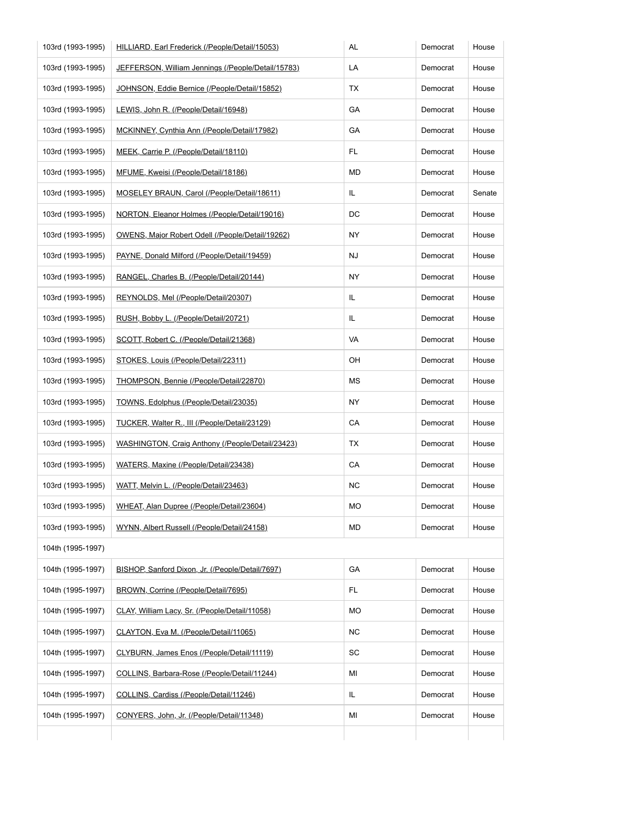| 103rd (1993-1995) | HILLIARD, Earl Frederick (/People/Detail/15053)    | AL        | Democrat | House  |
|-------------------|----------------------------------------------------|-----------|----------|--------|
| 103rd (1993-1995) | JEFFERSON, William Jennings (/People/Detail/15783) | LA        | Democrat | House  |
| 103rd (1993-1995) | JOHNSON, Eddie Bernice (/People/Detail/15852)      | TX        | Democrat | House  |
| 103rd (1993-1995) | LEWIS, John R. (/People/Detail/16948)              | GA        | Democrat | House  |
| 103rd (1993-1995) | MCKINNEY, Cynthia Ann (/People/Detail/17982)       | GA        | Democrat | House  |
| 103rd (1993-1995) | MEEK, Carrie P. (/People/Detail/18110)             | FL.       | Democrat | House  |
| 103rd (1993-1995) | MFUME, Kweisi (/People/Detail/18186)               | MD        | Democrat | House  |
| 103rd (1993-1995) | MOSELEY BRAUN, Carol (/People/Detail/18611)        | IL.       | Democrat | Senate |
| 103rd (1993-1995) | NORTON, Eleanor Holmes (/People/Detail/19016)      | DC        | Democrat | House  |
| 103rd (1993-1995) | OWENS, Major Robert Odell (/People/Detail/19262)   | NY.       | Democrat | House  |
| 103rd (1993-1995) | PAYNE, Donald Milford (/People/Detail/19459)       | NJ        | Democrat | House  |
| 103rd (1993-1995) | RANGEL, Charles B. (/People/Detail/20144)          | NY.       | Democrat | House  |
| 103rd (1993-1995) | REYNOLDS, Mel (/People/Detail/20307)               | IL        | Democrat | House  |
| 103rd (1993-1995) | RUSH, Bobby L. (/People/Detail/20721)              | IL.       | Democrat | House  |
| 103rd (1993-1995) | SCOTT, Robert C. (/People/Detail/21368)            | VA        | Democrat | House  |
| 103rd (1993-1995) | STOKES, Louis (/People/Detail/22311)               | OH        | Democrat | House  |
| 103rd (1993-1995) | THOMPSON, Bennie (/People/Detail/22870)            | МS        | Democrat | House  |
| 103rd (1993-1995) | TOWNS, Edolphus (/People/Detail/23035)             | NY.       | Democrat | House  |
| 103rd (1993-1995) | TUCKER, Walter R., III (/People/Detail/23129)      | CA        | Democrat | House  |
| 103rd (1993-1995) | WASHINGTON, Craig Anthony (/People/Detail/23423)   | ТX        | Democrat | House  |
| 103rd (1993-1995) | WATERS, Maxine (/People/Detail/23438)              | CA        | Democrat | House  |
| 103rd (1993-1995) | WATT, Melvin L. (/People/Detail/23463)             | <b>NC</b> | Democrat | House  |
| 103rd (1993-1995) | WHEAT, Alan Dupree (/People/Detail/23604)          | <b>MO</b> | Democrat | House  |
| 103rd (1993-1995) | WYNN, Albert Russell (/People/Detail/24158)        | MD        | Democrat | House  |
| 104th (1995-1997) |                                                    |           |          |        |
| 104th (1995-1997) | BISHOP, Sanford Dixon, Jr. (/People/Detail/7697)   | GA        | Democrat | House  |
| 104th (1995-1997) | BROWN, Corrine (/People/Detail/7695)               | FL.       | Democrat | House  |
| 104th (1995-1997) | CLAY, William Lacy, Sr. (/People/Detail/11058)     | MO        | Democrat | House  |
| 104th (1995-1997) | CLAYTON, Eva M. (/People/Detail/11065)             | NC.       | Democrat | House  |
| 104th (1995-1997) | CLYBURN, James Enos (/People/Detail/11119)         | SC        | Democrat | House  |
| 104th (1995-1997) | COLLINS, Barbara-Rose (/People/Detail/11244)       | ΜI        | Democrat | House  |
| 104th (1995-1997) | COLLINS, Cardiss (/People/Detail/11246)            | IL.       | Democrat | House  |
|                   |                                                    |           |          |        |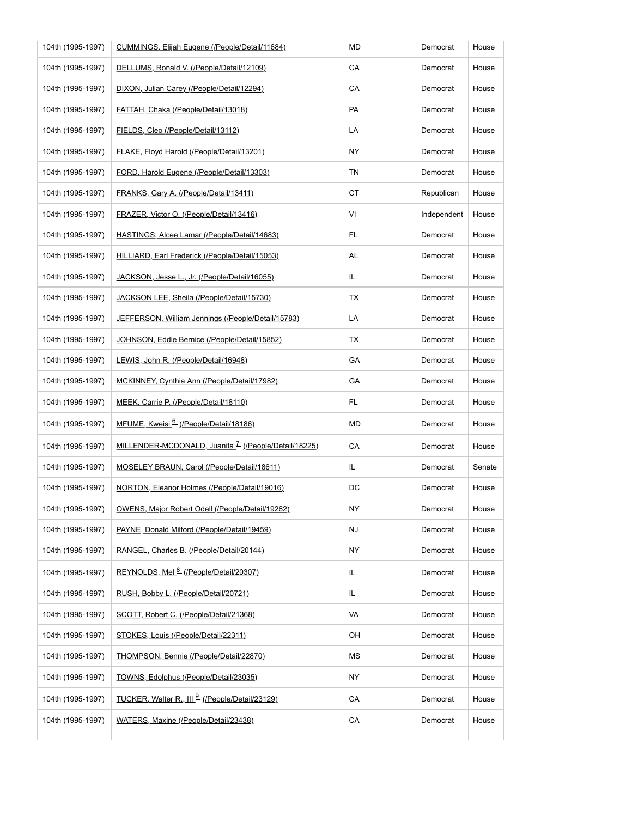| 104th (1995-1997) | CUMMINGS, Elijah Eugene (/People/Detail/11684)                  | MD        | Democrat    | House  |
|-------------------|-----------------------------------------------------------------|-----------|-------------|--------|
| 104th (1995-1997) | DELLUMS, Ronald V. (/People/Detail/12109)                       | CA        | Democrat    | House  |
| 104th (1995-1997) | DIXON, Julian Carey (/People/Detail/12294)                      | CA        | Democrat    | House  |
| 104th (1995-1997) | FATTAH, Chaka (/People/Detail/13018)                            | PA        | Democrat    | House  |
| 104th (1995-1997) | FIELDS, Cleo (/People/Detail/13112)                             | LA        | Democrat    | House  |
| 104th (1995-1997) | <b>FLAKE, Floyd Harold (/People/Detail/13201)</b>               | NY        | Democrat    | House  |
| 104th (1995-1997) | FORD, Harold Eugene (/People/Detail/13303)                      | TN        | Democrat    | House  |
| 104th (1995-1997) | FRANKS, Gary A. (/People/Detail/13411)                          | СT        | Republican  | House  |
| 104th (1995-1997) | FRAZER, Victor O. (/People/Detail/13416)                        | VI        | Independent | House  |
| 104th (1995-1997) | HASTINGS, Alcee Lamar (/People/Detail/14683)                    | FL.       | Democrat    | House  |
| 104th (1995-1997) | HILLIARD, Earl Frederick (/People/Detail/15053)                 | AL.       | Democrat    | House  |
| 104th (1995-1997) | JACKSON, Jesse L., Jr. (/People/Detail/16055)                   | IL.       | Democrat    | House  |
| 104th (1995-1997) | JACKSON LEE, Sheila (/People/Detail/15730)                      | ТX        | Democrat    | House  |
| 104th (1995-1997) | JEFFERSON, William Jennings (/People/Detail/15783)              | LA        | Democrat    | House  |
| 104th (1995-1997) | JOHNSON, Eddie Bernice (/People/Detail/15852)                   | ТX        | Democrat    | House  |
| 104th (1995-1997) | LEWIS, John R. (/People/Detail/16948)                           | GA        | Democrat    | House  |
| 104th (1995-1997) | MCKINNEY, Cynthia Ann (/People/Detail/17982)                    | GA        | Democrat    | House  |
| 104th (1995-1997) | MEEK, Carrie P. (/People/Detail/18110)                          | FL.       | Democrat    | House  |
| 104th (1995-1997) | MFUME, Kweisi <sup>6</sup> (/People/Detail/18186)               | MD        | Democrat    | House  |
| 104th (1995-1997) | MILLENDER-MCDONALD, Juanita <sup>Z</sup> (/People/Detail/18225) | CA        | Democrat    | House  |
| 104th (1995-1997) | MOSELEY BRAUN, Carol (/People/Detail/18611)                     | IL.       | Democrat    | Senate |
| 104th (1995-1997) | NORTON, Eleanor Holmes (/People/Detail/19016)                   | DC        | Democrat    | House  |
| 104th (1995-1997) | OWENS, Major Robert Odell (/People/Detail/19262)                | ΝY        | Democrat    | House  |
| 104th (1995-1997) | PAYNE, Donald Milford (/People/Detail/19459)                    | NJ        | Democrat    | House  |
| 104th (1995-1997) | RANGEL, Charles B. (/People/Detail/20144)                       | NY        | Democrat    | House  |
| 104th (1995-1997) | REYNOLDS, Mel 8 (/People/Detail/20307)                          | IL.       | Democrat    | House  |
| 104th (1995-1997) | RUSH, Bobby L. (/People/Detail/20721)                           | IL.       | Democrat    | House  |
| 104th (1995-1997) | SCOTT, Robert C. (/People/Detail/21368)                         | VA        | Democrat    | House  |
| 104th (1995-1997) | STOKES, Louis (/People/Detail/22311)                            | OH        | Democrat    | House  |
| 104th (1995-1997) | THOMPSON, Bennie (/People/Detail/22870)                         | МS        | Democrat    | House  |
| 104th (1995-1997) | TOWNS, Edolphus (/People/Detail/23035)                          | <b>NY</b> | Democrat    | House  |
| 104th (1995-1997) | TUCKER, Walter R., III 9 (/People/Detail/23129)                 | CA        | Democrat    | House  |
| 104th (1995-1997) | WATERS, Maxine (/People/Detail/23438)                           | CA        | Democrat    | House  |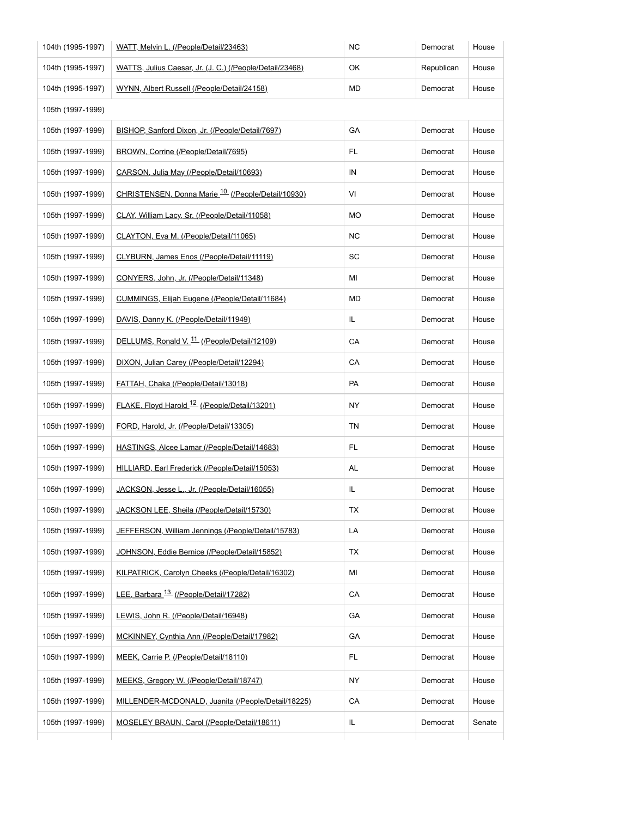| 104th (1995-1997) | WATT, Melvin L. (/People/Detail/23463)                   | <b>NC</b> | Democrat   | House  |
|-------------------|----------------------------------------------------------|-----------|------------|--------|
| 104th (1995-1997) | WATTS, Julius Caesar, Jr. (J. C.) (/People/Detail/23468) | OK        | Republican | House  |
| 104th (1995-1997) | WYNN, Albert Russell (/People/Detail/24158)              | MD        | Democrat   | House  |
| 105th (1997-1999) |                                                          |           |            |        |
| 105th (1997-1999) | BISHOP, Sanford Dixon, Jr. (/People/Detail/7697)         | GA        | Democrat   | House  |
| 105th (1997-1999) | BROWN, Corrine (/People/Detail/7695)                     | FL.       | Democrat   | House  |
| 105th (1997-1999) | CARSON, Julia May (/People/Detail/10693)                 | IN        | Democrat   | House  |
| 105th (1997-1999) | CHRISTENSEN, Donna Marie 10 (/People/Detail/10930)       | VI        | Democrat   | House  |
| 105th (1997-1999) | CLAY, William Lacy, Sr. (/People/Detail/11058)           | MO        | Democrat   | House  |
| 105th (1997-1999) | CLAYTON, Eva M. (/People/Detail/11065)                   | NC.       | Democrat   | House  |
| 105th (1997-1999) | CLYBURN, James Enos (/People/Detail/11119)               | SC        | Democrat   | House  |
| 105th (1997-1999) | CONYERS, John, Jr. (/People/Detail/11348)                | MI        | Democrat   | House  |
| 105th (1997-1999) | CUMMINGS, Elijah Eugene (/People/Detail/11684)           | MD        | Democrat   | House  |
| 105th (1997-1999) | DAVIS, Danny K. (/People/Detail/11949)                   | IL.       | Democrat   | House  |
| 105th (1997-1999) | DELLUMS, Ronald V. <sup>11</sup> (/People/Detail/12109)  | CA        | Democrat   | House  |
| 105th (1997-1999) | DIXON, Julian Carey (/People/Detail/12294)               | CA        | Democrat   | House  |
| 105th (1997-1999) | FATTAH, Chaka (/People/Detail/13018)                     | PA        | Democrat   | House  |
| 105th (1997-1999) | FLAKE, Floyd Harold <sup>12</sup> (/People/Detail/13201) | NY        | Democrat   | House  |
| 105th (1997-1999) | FORD, Harold, Jr. (/People/Detail/13305)                 | TN        | Democrat   | House  |
| 105th (1997-1999) | HASTINGS, Alcee Lamar (/People/Detail/14683)             | FL.       | Democrat   | House  |
| 105th (1997-1999) | HILLIARD, Earl Frederick (/People/Detail/15053)          | AL        | Democrat   | House  |
| 105th (1997-1999) | JACKSON, Jesse L., Jr. (/People/Detail/16055)            | IL        | Democrat   | House  |
| 105th (1997-1999) | JACKSON LEE, Sheila (/People/Detail/15730)               | TX        | Democrat   | House  |
| 105th (1997-1999) | JEFFERSON, William Jennings (/People/Detail/15783)       | LA        | Democrat   | House  |
| 105th (1997-1999) | JOHNSON, Eddie Bernice (/People/Detail/15852)            | ТX        | Democrat   | House  |
| 105th (1997-1999) | KILPATRICK, Carolyn Cheeks (/People/Detail/16302)        | ΜI        | Democrat   | House  |
| 105th (1997-1999) | LEE, Barbara <sup>13</sup> (/People/Detail/17282)        | CA        | Democrat   | House  |
| 105th (1997-1999) | LEWIS, John R. (/People/Detail/16948)                    | GA        | Democrat   | House  |
| 105th (1997-1999) | MCKINNEY, Cynthia Ann (/People/Detail/17982)             | GA        | Democrat   | House  |
| 105th (1997-1999) | MEEK, Carrie P. (/People/Detail/18110)                   | FL.       | Democrat   | House  |
| 105th (1997-1999) | MEEKS, Gregory W. (/People/Detail/18747)                 | NY.       | Democrat   | House  |
| 105th (1997-1999) | MILLENDER-MCDONALD, Juanita (/People/Detail/18225)       | CA        | Democrat   | House  |
|                   | MOSELEY BRAUN, Carol (/People/Detail/18611)              | IL        | Democrat   | Senate |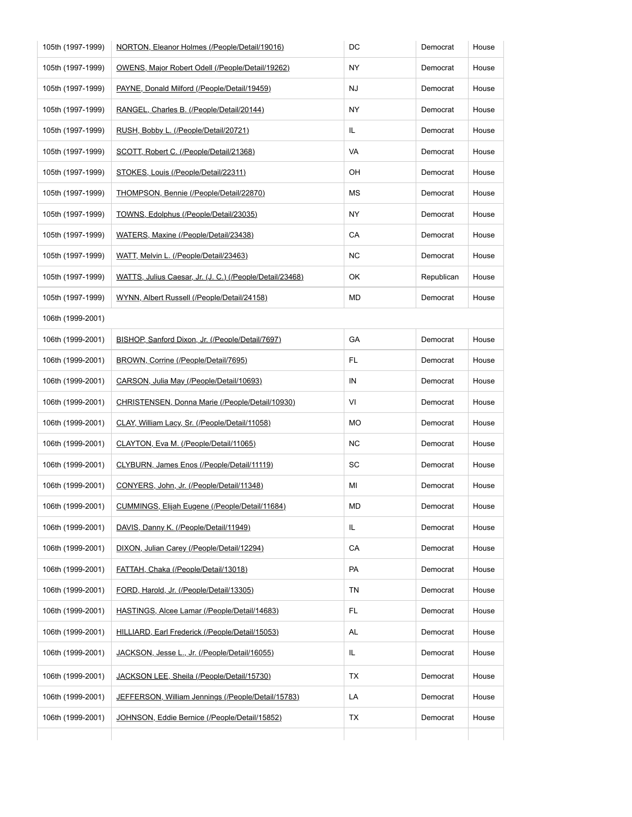| 105th (1997-1999) | NORTON, Eleanor Holmes (/People/Detail/19016)            | DC        | Democrat   | House |  |
|-------------------|----------------------------------------------------------|-----------|------------|-------|--|
| 105th (1997-1999) | OWENS, Major Robert Odell (/People/Detail/19262)         | NY.       | Democrat   | House |  |
| 105th (1997-1999) | PAYNE, Donald Milford (/People/Detail/19459)             | NJ        | Democrat   | House |  |
| 105th (1997-1999) | RANGEL, Charles B. (/People/Detail/20144)                | ΝY        | Democrat   | House |  |
| 105th (1997-1999) | RUSH, Bobby L. (/People/Detail/20721)                    | IL        | Democrat   | House |  |
| 105th (1997-1999) | SCOTT, Robert C. (/People/Detail/21368)                  | VA        | Democrat   | House |  |
| 105th (1997-1999) | STOKES, Louis (/People/Detail/22311)                     | OH        | Democrat   | House |  |
| 105th (1997-1999) | THOMPSON, Bennie (/People/Detail/22870)                  | МS        | Democrat   | House |  |
| 105th (1997-1999) | TOWNS, Edolphus (/People/Detail/23035)                   | NY.       | Democrat   | House |  |
| 105th (1997-1999) | WATERS, Maxine (/People/Detail/23438)                    | CA        | Democrat   | House |  |
| 105th (1997-1999) | WATT, Melvin L. (/People/Detail/23463)                   | <b>NC</b> | Democrat   | House |  |
| 105th (1997-1999) | WATTS, Julius Caesar, Jr. (J. C.) (/People/Detail/23468) | OK        | Republican | House |  |
| 105th (1997-1999) | WYNN, Albert Russell (/People/Detail/24158)              | MD        | Democrat   | House |  |
| 106th (1999-2001) |                                                          |           |            |       |  |
| 106th (1999-2001) | BISHOP, Sanford Dixon, Jr. (/People/Detail/7697)         | GA        | Democrat   | House |  |
| 106th (1999-2001) | BROWN, Corrine (/People/Detail/7695)                     | FL.       | Democrat   | House |  |
| 106th (1999-2001) | CARSON, Julia May (/People/Detail/10693)                 | IN        | Democrat   | House |  |
| 106th (1999-2001) | CHRISTENSEN, Donna Marie (/People/Detail/10930)          | VI        | Democrat   | House |  |
| 106th (1999-2001) | CLAY, William Lacy, Sr. (/People/Detail/11058)           | MO        | Democrat   | House |  |
| 106th (1999-2001) | CLAYTON, Eva M. (/People/Detail/11065)                   | ΝC        | Democrat   | House |  |
| 106th (1999-2001) | CLYBURN, James Enos (/People/Detail/11119)               | SC        | Democrat   | House |  |
| 106th (1999-2001) | CONYERS, John, Jr. (/People/Detail/11348)                | ΜI        | Democrat   | House |  |
| 106th (1999-2001) | CUMMINGS, Elijah Eugene (/People/Detail/11684)           | MD        | Democrat   | House |  |
| 106th (1999-2001) | DAVIS, Danny K. (/People/Detail/11949)                   | IL.       | Democrat   | House |  |
| 106th (1999-2001) | DIXON, Julian Carey (/People/Detail/12294)               | CA        | Democrat   | House |  |
| 106th (1999-2001) | FATTAH, Chaka (/People/Detail/13018)                     | PA        | Democrat   | House |  |
| 106th (1999-2001) | FORD, Harold, Jr. (/People/Detail/13305)                 | TN        | Democrat   | House |  |
| 106th (1999-2001) | HASTINGS, Alcee Lamar (/People/Detail/14683)             | FL.       | Democrat   | House |  |
| 106th (1999-2001) | HILLIARD, Earl Frederick (/People/Detail/15053)          | AL        | Democrat   | House |  |
| 106th (1999-2001) | JACKSON, Jesse L., Jr. (/People/Detail/16055)            | IL.       | Democrat   | House |  |
| 106th (1999-2001) | JACKSON LEE, Sheila (/People/Detail/15730)               | ТX        | Democrat   | House |  |
|                   | JEFFERSON, William Jennings (/People/Detail/15783)       | LA        | Democrat   | House |  |
| 106th (1999-2001) |                                                          |           |            |       |  |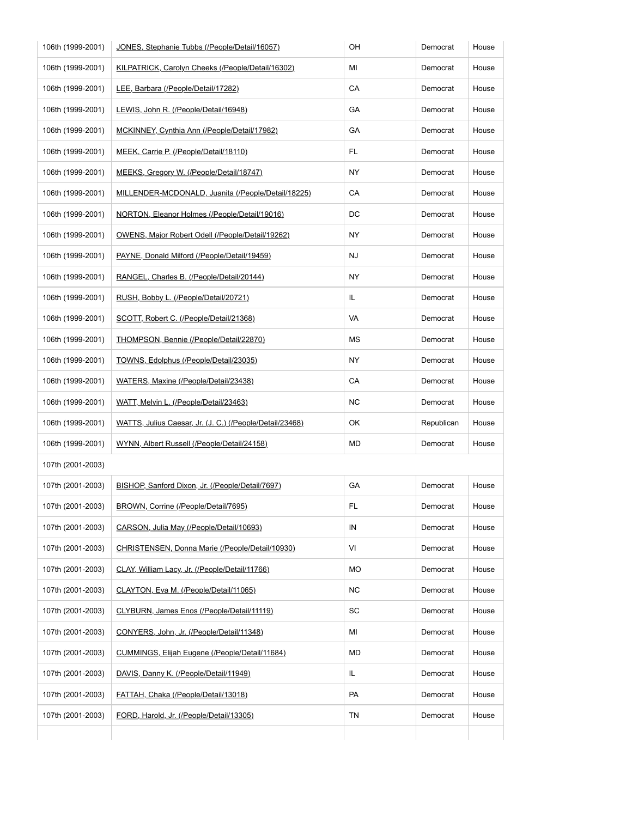| 106th (1999-2001) | JONES, Stephanie Tubbs (/People/Detail/16057)            | OH        | Democrat   | House |
|-------------------|----------------------------------------------------------|-----------|------------|-------|
| 106th (1999-2001) | KILPATRICK, Carolyn Cheeks (/People/Detail/16302)        | ΜI        | Democrat   | House |
| 106th (1999-2001) | LEE, Barbara (/People/Detail/17282)                      | CA        | Democrat   | House |
| 106th (1999-2001) | LEWIS, John R. (/People/Detail/16948)                    | GA        | Democrat   | House |
| 106th (1999-2001) | MCKINNEY, Cynthia Ann (/People/Detail/17982)             | GA        | Democrat   | House |
| 106th (1999-2001) | MEEK, Carrie P. (/People/Detail/18110)                   | FL.       | Democrat   | House |
| 106th (1999-2001) | MEEKS, Gregory W. (/People/Detail/18747)                 | ΝY        | Democrat   | House |
| 106th (1999-2001) | MILLENDER-MCDONALD, Juanita (/People/Detail/18225)       | CA        | Democrat   | House |
| 106th (1999-2001) | NORTON, Eleanor Holmes (/People/Detail/19016)            | DC        | Democrat   | House |
| 106th (1999-2001) | OWENS, Major Robert Odell (/People/Detail/19262)         | NY        | Democrat   | House |
| 106th (1999-2001) | PAYNE, Donald Milford (/People/Detail/19459)             | NJ        | Democrat   | House |
| 106th (1999-2001) | RANGEL, Charles B. (/People/Detail/20144)                | NY        | Democrat   | House |
| 106th (1999-2001) | RUSH, Bobby L. (/People/Detail/20721)                    | IL.       | Democrat   | House |
| 106th (1999-2001) | SCOTT, Robert C. (/People/Detail/21368)                  | VA        | Democrat   | House |
| 106th (1999-2001) | THOMPSON, Bennie (/People/Detail/22870)                  | MS        | Democrat   | House |
| 106th (1999-2001) | TOWNS, Edolphus (/People/Detail/23035)                   | NY        | Democrat   | House |
| 106th (1999-2001) | WATERS, Maxine (/People/Detail/23438)                    | CA        | Democrat   | House |
| 106th (1999-2001) | WATT, Melvin L. (/People/Detail/23463)                   | NC        | Democrat   | House |
| 106th (1999-2001) | WATTS, Julius Caesar, Jr. (J. C.) (/People/Detail/23468) | OK        | Republican | House |
| 106th (1999-2001) | WYNN, Albert Russell (/People/Detail/24158)              | MD        | Democrat   | House |
| 107th (2001-2003) |                                                          |           |            |       |
| 107th (2001-2003) | BISHOP, Sanford Dixon, Jr. (/People/Detail/7697)         | GА        | Democrat   | House |
| 107th (2001-2003) | BROWN, Corrine (/People/Detail/7695)                     | FL.       | Democrat   | House |
| 107th (2001-2003) | CARSON, Julia May (/People/Detail/10693)                 | IN        | Democrat   | House |
| 107th (2001-2003) | CHRISTENSEN, Donna Marie (/People/Detail/10930)          | VI        | Democrat   | House |
| 107th (2001-2003) | CLAY, William Lacy, Jr. (/People/Detail/11766)           | МO        | Democrat   | House |
| 107th (2001-2003) | CLAYTON, Eva M. (/People/Detail/11065)                   | <b>NC</b> | Democrat   | House |
| 107th (2001-2003) | CLYBURN, James Enos (/People/Detail/11119)               | SC        | Democrat   | House |
| 107th (2001-2003) | CONYERS, John, Jr. (/People/Detail/11348)                | ΜI        | Democrat   | House |
| 107th (2001-2003) | CUMMINGS, Elijah Eugene (/People/Detail/11684)           | MD        | Democrat   | House |
| 107th (2001-2003) | DAVIS, Danny K. (/People/Detail/11949)                   | IL.       | Democrat   | House |
| 107th (2001-2003) | FATTAH, Chaka (/People/Detail/13018)                     | PA        | Democrat   | House |
|                   |                                                          |           |            |       |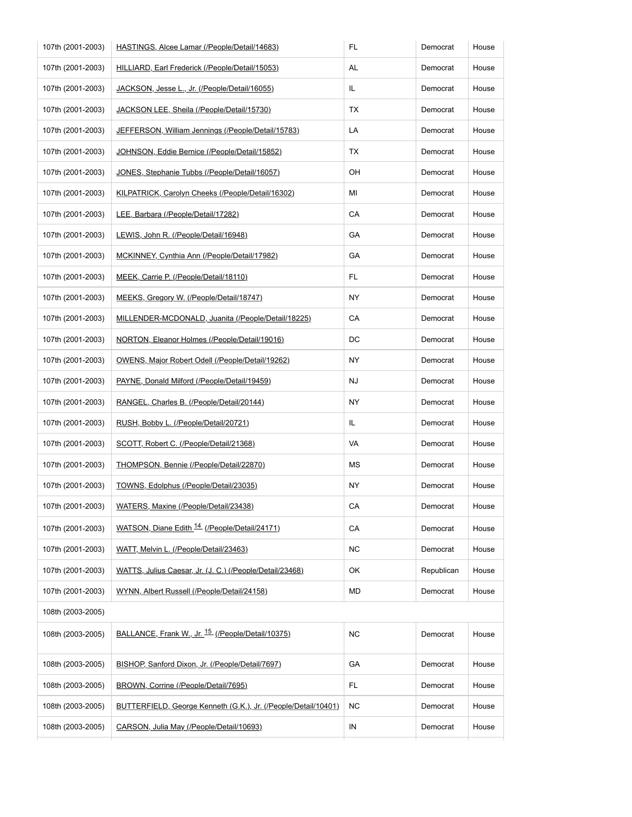| 107th (2001-2003) | HASTINGS, Alcee Lamar (/People/Detail/14683)                   | FL.        | Democrat   | House |
|-------------------|----------------------------------------------------------------|------------|------------|-------|
| 107th (2001-2003) | HILLIARD, Earl Frederick (/People/Detail/15053)                | AL         | Democrat   | House |
| 107th (2001-2003) | JACKSON, Jesse L., Jr. (/People/Detail/16055)                  | IL.        | Democrat   | House |
| 107th (2001-2003) | JACKSON LEE, Sheila (/People/Detail/15730)                     | ТX         | Democrat   | House |
| 107th (2001-2003) | JEFFERSON, William Jennings (/People/Detail/15783)             | LA         | Democrat   | House |
| 107th (2001-2003) | JOHNSON, Eddie Bernice (/People/Detail/15852)                  | TX         | Democrat   | House |
| 107th (2001-2003) | JONES, Stephanie Tubbs (/People/Detail/16057)                  | OН         | Democrat   | House |
| 107th (2001-2003) | KILPATRICK, Carolyn Cheeks (/People/Detail/16302)              | MI         | Democrat   | House |
| 107th (2001-2003) | LEE, Barbara (/People/Detail/17282)                            | CA         | Democrat   | House |
| 107th (2001-2003) | LEWIS, John R. (/People/Detail/16948)                          | GA         | Democrat   | House |
| 107th (2001-2003) | MCKINNEY, Cynthia Ann (/People/Detail/17982)                   | GA         | Democrat   | House |
| 107th (2001-2003) | MEEK, Carrie P. (/People/Detail/18110)                         | FL.        | Democrat   | House |
| 107th (2001-2003) | MEEKS, Gregory W. (/People/Detail/18747)                       | NY         | Democrat   | House |
| 107th (2001-2003) | MILLENDER-MCDONALD, Juanita (/People/Detail/18225)             | СA         | Democrat   | House |
| 107th (2001-2003) | NORTON, Eleanor Holmes (/People/Detail/19016)                  | DC         | Democrat   | House |
| 107th (2001-2003) | OWENS, Major Robert Odell (/People/Detail/19262)               | NY.        | Democrat   | House |
| 107th (2001-2003) | PAYNE, Donald Milford (/People/Detail/19459)                   | <b>NJ</b>  | Democrat   | House |
| 107th (2001-2003) | RANGEL, Charles B. (/People/Detail/20144)                      | NY         | Democrat   | House |
| 107th (2001-2003) | RUSH, Bobby L. (/People/Detail/20721)                          | IL.        | Democrat   | House |
| 107th (2001-2003) | SCOTT, Robert C. (/People/Detail/21368)                        | VA         | Democrat   | House |
| 107th (2001-2003) | THOMPSON, Bennie (/People/Detail/22870)                        | MS         | Democrat   | House |
| 107th (2001-2003) | TOWNS, Edolphus (/People/Detail/23035)                         | <b>NY</b>  | Democrat   | House |
| 107th (2001-2003) | WATERS, Maxine (/People/Detail/23438)                          | CA         | Democrat   | House |
| 107th (2001-2003) | WATSON, Diane Edith <sup>14</sup> (/People/Detail/24171)       | ${\sf CA}$ | Democrat   | House |
| 107th (2001-2003) | WATT, Melvin L. (/People/Detail/23463)                         | <b>NC</b>  | Democrat   | House |
| 107th (2001-2003) | WATTS, Julius Caesar, Jr. (J. C.) (/People/Detail/23468)       | OK         | Republican | House |
| 107th (2001-2003) | WYNN, Albert Russell (/People/Detail/24158)                    | MD         | Democrat   | House |
| 108th (2003-2005) |                                                                |            |            |       |
| 108th (2003-2005) | BALLANCE, Frank W., Jr. <sup>15</sup> (/People/Detail/10375)   | <b>NC</b>  | Democrat   | House |
| 108th (2003-2005) | BISHOP, Sanford Dixon, Jr. (/People/Detail/7697)               | GA         | Democrat   | House |
| 108th (2003-2005) | BROWN, Corrine (/People/Detail/7695)                           | FL         | Democrat   | House |
| 108th (2003-2005) | BUTTERFIELD, George Kenneth (G.K.), Jr. (/People/Detail/10401) | <b>NC</b>  | Democrat   | House |
|                   | CARSON, Julia May (/People/Detail/10693)                       | IN         | Democrat   | House |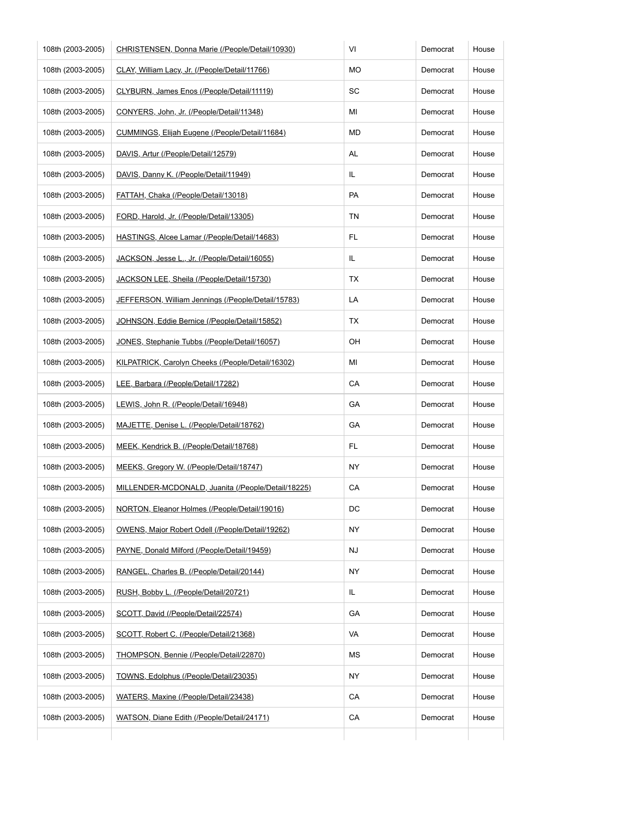| 108th (2003-2005) | CHRISTENSEN, Donna Marie (/People/Detail/10930)    | VI  | Democrat | House |
|-------------------|----------------------------------------------------|-----|----------|-------|
| 108th (2003-2005) | CLAY, William Lacy, Jr. (/People/Detail/11766)     | МO  | Democrat | House |
| 108th (2003-2005) | CLYBURN, James Enos (/People/Detail/11119)         | SC  | Democrat | House |
| 108th (2003-2005) | CONYERS, John, Jr. (/People/Detail/11348)          | ΜI  | Democrat | House |
| 108th (2003-2005) | CUMMINGS, Elijah Eugene (/People/Detail/11684)     | МD  | Democrat | House |
| 108th (2003-2005) | DAVIS, Artur (/People/Detail/12579)                | AL  | Democrat | House |
| 108th (2003-2005) | DAVIS, Danny K. (/People/Detail/11949)             | IL. | Democrat | House |
| 108th (2003-2005) | FATTAH, Chaka (/People/Detail/13018)               | PA  | Democrat | House |
| 108th (2003-2005) | FORD, Harold, Jr. (/People/Detail/13305)           | ΤN  | Democrat | House |
| 108th (2003-2005) | HASTINGS, Alcee Lamar (/People/Detail/14683)       | FL. | Democrat | House |
| 108th (2003-2005) | JACKSON, Jesse L., Jr. (/People/Detail/16055)      | IL  | Democrat | House |
| 108th (2003-2005) | JACKSON LEE, Sheila (/People/Detail/15730)         | ТX  | Democrat | House |
| 108th (2003-2005) | JEFFERSON, William Jennings (/People/Detail/15783) | LA  | Democrat | House |
| 108th (2003-2005) | JOHNSON, Eddie Bernice (/People/Detail/15852)      | ТX  | Democrat | House |
| 108th (2003-2005) | JONES, Stephanie Tubbs (/People/Detail/16057)      | OН  | Democrat | House |
| 108th (2003-2005) | KILPATRICK, Carolyn Cheeks (/People/Detail/16302)  | ΜI  | Democrat | House |
| 108th (2003-2005) | LEE, Barbara (/People/Detail/17282)                | СA  | Democrat | House |
| 108th (2003-2005) | LEWIS, John R. (/People/Detail/16948)              | GА  | Democrat | House |
| 108th (2003-2005) | MAJETTE, Denise L. (/People/Detail/18762)          | GA  | Democrat | House |
| 108th (2003-2005) | MEEK, Kendrick B. (/People/Detail/18768)           | FL. | Democrat | House |
| 108th (2003-2005) | MEEKS, Gregory W. (/People/Detail/18747)           | ΝY  | Democrat | House |
| 108th (2003-2005) | MILLENDER-MCDONALD, Juanita (/People/Detail/18225) | CA  | Democrat | House |
| 108th (2003-2005) | NORTON, Eleanor Holmes (/People/Detail/19016)      | DC  | Democrat | House |
| 108th (2003-2005) | OWENS, Major Robert Odell (/People/Detail/19262)   | NY  | Democrat | House |
| 108th (2003-2005) | PAYNE, Donald Milford (/People/Detail/19459)       | NJ  | Democrat | House |
| 108th (2003-2005) | RANGEL, Charles B. (/People/Detail/20144)          | NY  | Democrat | House |
| 108th (2003-2005) | RUSH, Bobby L. (/People/Detail/20721)              | IL. | Democrat | House |
| 108th (2003-2005) | SCOTT, David (/People/Detail/22574)                | GА  | Democrat | House |
| 108th (2003-2005) | SCOTT, Robert C. (/People/Detail/21368)            | VA  | Democrat | House |
| 108th (2003-2005) | THOMPSON, Bennie (/People/Detail/22870)            | МS  | Democrat | House |
| 108th (2003-2005) | TOWNS, Edolphus (/People/Detail/23035)             | NY  | Democrat | House |
| 108th (2003-2005) | WATERS, Maxine (/People/Detail/23438)              | CA  | Democrat | House |
| 108th (2003-2005) | WATSON, Diane Edith (/People/Detail/24171)         | CA  | Democrat | House |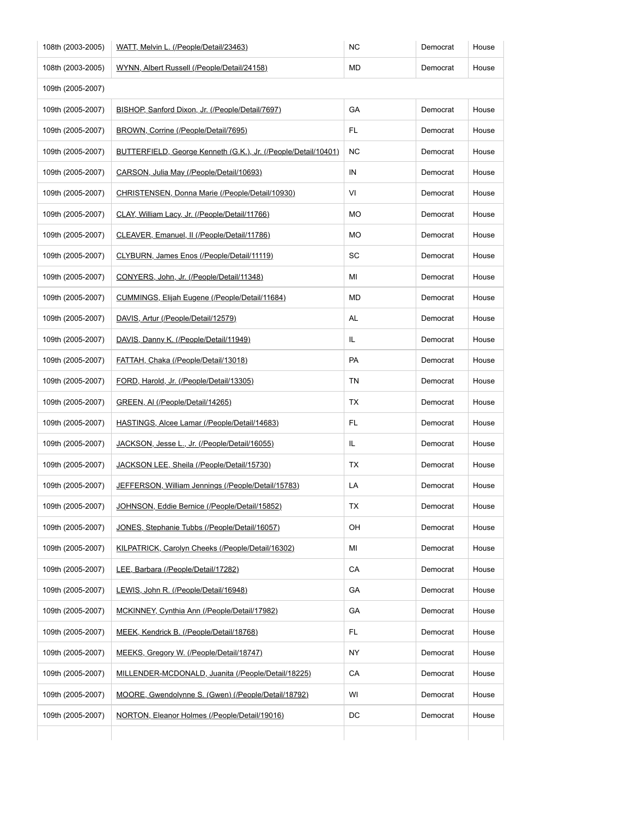| 108th (2003-2005) | WATT, Melvin L. (/People/Detail/23463)                         | <b>NC</b> | Democrat | House |
|-------------------|----------------------------------------------------------------|-----------|----------|-------|
| 108th (2003-2005) | WYNN, Albert Russell (/People/Detail/24158)                    | MD        | Democrat | House |
| 109th (2005-2007) |                                                                |           |          |       |
| 109th (2005-2007) | BISHOP, Sanford Dixon, Jr. (/People/Detail/7697)               | GA        | Democrat | House |
| 109th (2005-2007) | BROWN, Corrine (/People/Detail/7695)                           | FL.       | Democrat | House |
| 109th (2005-2007) | BUTTERFIELD, George Kenneth (G.K.), Jr. (/People/Detail/10401) | ΝC        | Democrat | House |
| 109th (2005-2007) | CARSON, Julia May (/People/Detail/10693)                       | IN        | Democrat | House |
| 109th (2005-2007) | CHRISTENSEN, Donna Marie (/People/Detail/10930)                | VI        | Democrat | House |
| 109th (2005-2007) | CLAY, William Lacy, Jr. (/People/Detail/11766)                 | MO        | Democrat | House |
| 109th (2005-2007) | CLEAVER, Emanuel, II (/People/Detail/11786)                    | MO        | Democrat | House |
| 109th (2005-2007) | CLYBURN, James Enos (/People/Detail/11119)                     | SC        | Democrat | House |
| 109th (2005-2007) | CONYERS, John, Jr. (/People/Detail/11348)                      | ΜI        | Democrat | House |
| 109th (2005-2007) | CUMMINGS, Elijah Eugene (/People/Detail/11684)                 | MD        | Democrat | House |
| 109th (2005-2007) | DAVIS, Artur (/People/Detail/12579)                            | AL        | Democrat | House |
| 109th (2005-2007) | DAVIS, Danny K. (/People/Detail/11949)                         | IL.       | Democrat | House |
| 109th (2005-2007) | FATTAH, Chaka (/People/Detail/13018)                           | PA        | Democrat | House |
| 109th (2005-2007) | FORD, Harold, Jr. (/People/Detail/13305)                       | TN        | Democrat | House |
| 109th (2005-2007) | GREEN, AI (/People/Detail/14265)                               | ТX        | Democrat | House |
| 109th (2005-2007) | HASTINGS, Alcee Lamar (/People/Detail/14683)                   | FL.       | Democrat | House |
| 109th (2005-2007) | JACKSON, Jesse L., Jr. (/People/Detail/16055)                  | IL.       | Democrat | House |
| 109th (2005-2007) | JACKSON LEE, Sheila (/People/Detail/15730)                     | ТX        | Democrat | House |
| 109th (2005-2007) | JEFFERSON, William Jennings (/People/Detail/15783)             | LA        | Democrat | House |
| 109th (2005-2007) | JOHNSON, Eddie Bernice (/People/Detail/15852)                  | ТX        | Democrat | House |
| 109th (2005-2007) | JONES, Stephanie Tubbs (/People/Detail/16057)                  | OH        | Democrat | House |
| 109th (2005-2007) | KILPATRICK, Carolyn Cheeks (/People/Detail/16302)              | ΜI        | Democrat | House |
| 109th (2005-2007) | LEE, Barbara (/People/Detail/17282)                            | CA        | Democrat | House |
| 109th (2005-2007) | LEWIS, John R. (/People/Detail/16948)                          | GA        | Democrat | House |
| 109th (2005-2007) | MCKINNEY, Cynthia Ann (/People/Detail/17982)                   | GA        | Democrat | House |
| 109th (2005-2007) | MEEK, Kendrick B. (/People/Detail/18768)                       | FL.       | Democrat | House |
| 109th (2005-2007) | MEEKS, Gregory W. (/People/Detail/18747)                       | ΝY        | Democrat | House |
| 109th (2005-2007) | MILLENDER-MCDONALD, Juanita (/People/Detail/18225)             | CA        | Democrat | House |
| 109th (2005-2007) | MOORE, Gwendolynne S. (Gwen) (/People/Detail/18792)            | WI        | Democrat | House |
| 109th (2005-2007) | NORTON, Eleanor Holmes (/People/Detail/19016)                  | DC        | Democrat | House |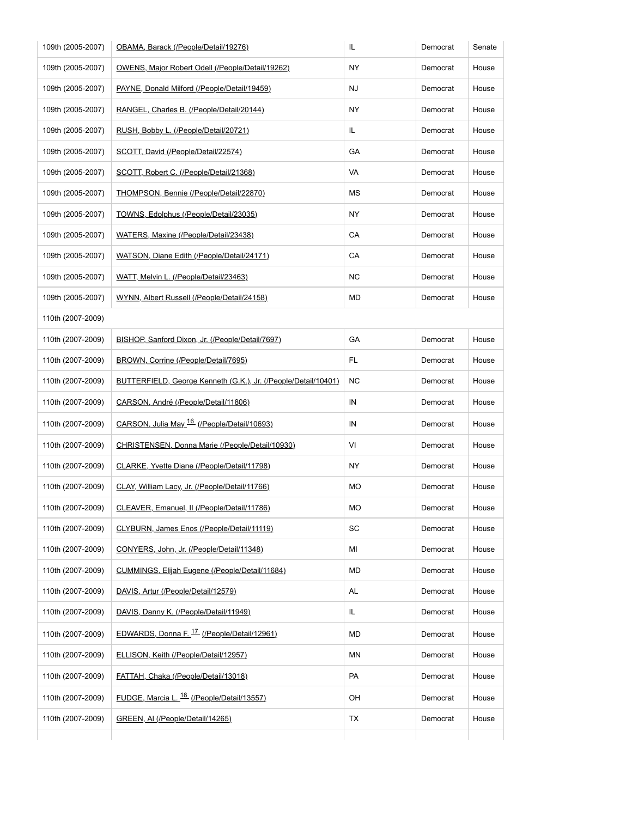| 109th (2005-2007) | OBAMA, Barack (/People/Detail/19276)                           | IL.       | Democrat | Senate |  |
|-------------------|----------------------------------------------------------------|-----------|----------|--------|--|
| 109th (2005-2007) | OWENS, Major Robert Odell (/People/Detail/19262)               | ΝY        | Democrat | House  |  |
| 109th (2005-2007) | PAYNE, Donald Milford (/People/Detail/19459)                   | NJ        | Democrat | House  |  |
| 109th (2005-2007) | RANGEL, Charles B. (/People/Detail/20144)                      | ΝY        | Democrat | House  |  |
| 109th (2005-2007) | RUSH, Bobby L. (/People/Detail/20721)                          | IL.       | Democrat | House  |  |
| 109th (2005-2007) | SCOTT, David (/People/Detail/22574)                            | GA        | Democrat | House  |  |
| 109th (2005-2007) | SCOTT, Robert C. (/People/Detail/21368)                        | VA        | Democrat | House  |  |
| 109th (2005-2007) | THOMPSON, Bennie (/People/Detail/22870)                        | МS        | Democrat | House  |  |
| 109th (2005-2007) | TOWNS, Edolphus (/People/Detail/23035)                         | <b>NY</b> | Democrat | House  |  |
| 109th (2005-2007) | WATERS, Maxine (/People/Detail/23438)                          | CA        | Democrat | House  |  |
| 109th (2005-2007) | WATSON, Diane Edith (/People/Detail/24171)                     | CA        | Democrat | House  |  |
| 109th (2005-2007) | WATT, Melvin L. (/People/Detail/23463)                         | ΝC        | Democrat | House  |  |
| 109th (2005-2007) | WYNN, Albert Russell (/People/Detail/24158)                    | MD        | Democrat | House  |  |
| 110th (2007-2009) |                                                                |           |          |        |  |
| 110th (2007-2009) | BISHOP, Sanford Dixon, Jr. (/People/Detail/7697)               | GA        | Democrat | House  |  |
| 110th (2007-2009) | BROWN, Corrine (/People/Detail/7695)                           | FL.       | Democrat | House  |  |
| 110th (2007-2009) | BUTTERFIELD, George Kenneth (G.K.), Jr. (/People/Detail/10401) | <b>NC</b> | Democrat | House  |  |
| 110th (2007-2009) | CARSON, André (/People/Detail/11806)                           | IN        | Democrat | House  |  |
| 110th (2007-2009) | CARSON, Julia May 16 (/People/Detail/10693)                    | IN        | Democrat | House  |  |
| 110th (2007-2009) | CHRISTENSEN, Donna Marie (/People/Detail/10930)                | VI        | Democrat | House  |  |
| 110th (2007-2009) | CLARKE, Yvette Diane (/People/Detail/11798)                    | NY.       | Democrat | House  |  |
| 110th (2007-2009) | CLAY, William Lacy, Jr. (/People/Detail/11766)                 | МO        | Democrat | House  |  |
| 110th (2007-2009) | CLEAVER, Emanuel, II (/People/Detail/11786)                    | МO        | Democrat | House  |  |
| 110th (2007-2009) | CLYBURN, James Enos (/People/Detail/11119)                     | SC        | Democrat | House  |  |
| 110th (2007-2009) | CONYERS, John, Jr. (/People/Detail/11348)                      | МI        | Democrat | House  |  |
| 110th (2007-2009) | CUMMINGS, Elijah Eugene (/People/Detail/11684)                 | MD        | Democrat | House  |  |
| 110th (2007-2009) | DAVIS, Artur (/People/Detail/12579)                            | AL        | Democrat | House  |  |
| 110th (2007-2009) | DAVIS, Danny K. (/People/Detail/11949)                         | IL.       | Democrat | House  |  |
| 110th (2007-2009) | EDWARDS, Donna F. 17 (/People/Detail/12961)                    | MD        | Democrat | House  |  |
| 110th (2007-2009) | ELLISON, Keith (/People/Detail/12957)                          | ΜN        | Democrat | House  |  |
|                   |                                                                | PA        | Democrat | House  |  |
| 110th (2007-2009) | FATTAH, Chaka (/People/Detail/13018)                           |           |          |        |  |
| 110th (2007-2009) | FUDGE, Marcia L. <sup>18</sup> (/People/Detail/13557)          | OH        | Democrat | House  |  |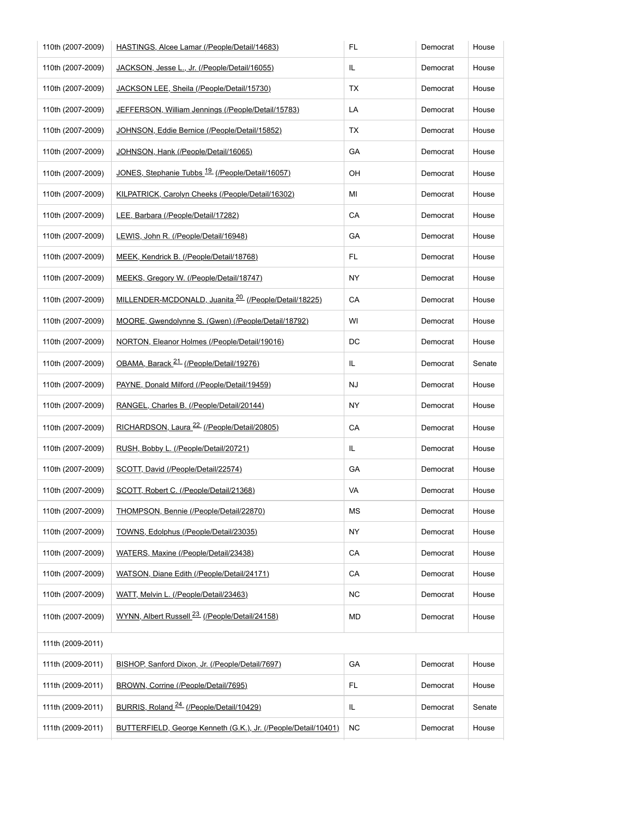| 110th (2007-2009) | HASTINGS, Alcee Lamar (/People/Detail/14683)                     | <b>FL</b> | Democrat | House  |
|-------------------|------------------------------------------------------------------|-----------|----------|--------|
| 110th (2007-2009) | JACKSON, Jesse L., Jr. (/People/Detail/16055)                    | IL.       | Democrat | House  |
| 110th (2007-2009) | JACKSON LEE, Sheila (/People/Detail/15730)                       | TX        | Democrat | House  |
| 110th (2007-2009) | JEFFERSON, William Jennings (/People/Detail/15783)               | LA        | Democrat | House  |
| 110th (2007-2009) | JOHNSON, Eddie Bernice (/People/Detail/15852)                    | TX        | Democrat | House  |
| 110th (2007-2009) | JOHNSON, Hank (/People/Detail/16065)                             | GA        | Democrat | House  |
| 110th (2007-2009) | JONES, Stephanie Tubbs <sup>19</sup> (/People/Detail/16057)      | OН        | Democrat | House  |
| 110th (2007-2009) | KILPATRICK, Carolyn Cheeks (/People/Detail/16302)                | MI        | Democrat | House  |
| 110th (2007-2009) | LEE, Barbara (/People/Detail/17282)                              | CA        | Democrat | House  |
| 110th (2007-2009) | LEWIS, John R. (/People/Detail/16948)                            | GA        | Democrat | House  |
| 110th (2007-2009) | MEEK, Kendrick B. (/People/Detail/18768)                         | FL.       | Democrat | House  |
| 110th (2007-2009) | MEEKS, Gregory W. (/People/Detail/18747)                         | <b>NY</b> | Democrat | House  |
| 110th (2007-2009) | MILLENDER-MCDONALD, Juanita <sup>20</sup> (/People/Detail/18225) | CA        | Democrat | House  |
| 110th (2007-2009) | MOORE, Gwendolynne S. (Gwen) (/People/Detail/18792)              | WI        | Democrat | House  |
| 110th (2007-2009) | NORTON, Eleanor Holmes (/People/Detail/19016)                    | DC        | Democrat | House  |
| 110th (2007-2009) | OBAMA, Barack <sup>21</sup> (/People/Detail/19276)               | IL.       | Democrat | Senate |
| 110th (2007-2009) | PAYNE, Donald Milford (/People/Detail/19459)                     | <b>NJ</b> | Democrat | House  |
| 110th (2007-2009) | RANGEL, Charles B. (/People/Detail/20144)                        | <b>NY</b> | Democrat | House  |
| 110th (2007-2009) | RICHARDSON, Laura <sup>22</sup> (/People/Detail/20805)           | СA        | Democrat | House  |
| 110th (2007-2009) | RUSH, Bobby L. (/People/Detail/20721)                            | IL.       | Democrat | House  |
| 110th (2007-2009) | SCOTT, David (/People/Detail/22574)                              | GA        | Democrat | House  |
| 110th (2007-2009) | SCOTT, Robert C. (/People/Detail/21368)                          | VA        | Democrat | House  |
| 110th (2007-2009) | THOMPSON, Bennie (/People/Detail/22870)                          | MS        | Democrat | House  |
| 110th (2007-2009) | TOWNS, Edolphus (/People/Detail/23035)                           | NY.       | Democrat | House  |
| 110th (2007-2009) | WATERS, Maxine (/People/Detail/23438)                            | CA        | Democrat | House  |
| 110th (2007-2009) | WATSON, Diane Edith (/People/Detail/24171)                       | CA        | Democrat | House  |
| 110th (2007-2009) | WATT, Melvin L. (/People/Detail/23463)                           | <b>NC</b> | Democrat | House  |
| 110th (2007-2009) | WYNN, Albert Russell <sup>23</sup> (/People/Detail/24158)        | <b>MD</b> | Democrat | House  |
| 111th (2009-2011) |                                                                  |           |          |        |
| 111th (2009-2011) | BISHOP, Sanford Dixon, Jr. (/People/Detail/7697)                 | GA        | Democrat | House  |
| 111th (2009-2011) | BROWN, Corrine (/People/Detail/7695)                             | FL        | Democrat | House  |
| 111th (2009-2011) | BURRIS, Roland <sup>24</sup> (/People/Detail/10429)              | IL        | Democrat | Senate |
| 111th (2009-2011) | BUTTERFIELD, George Kenneth (G.K.), Jr. (/People/Detail/10401)   | <b>NC</b> | Democrat | House  |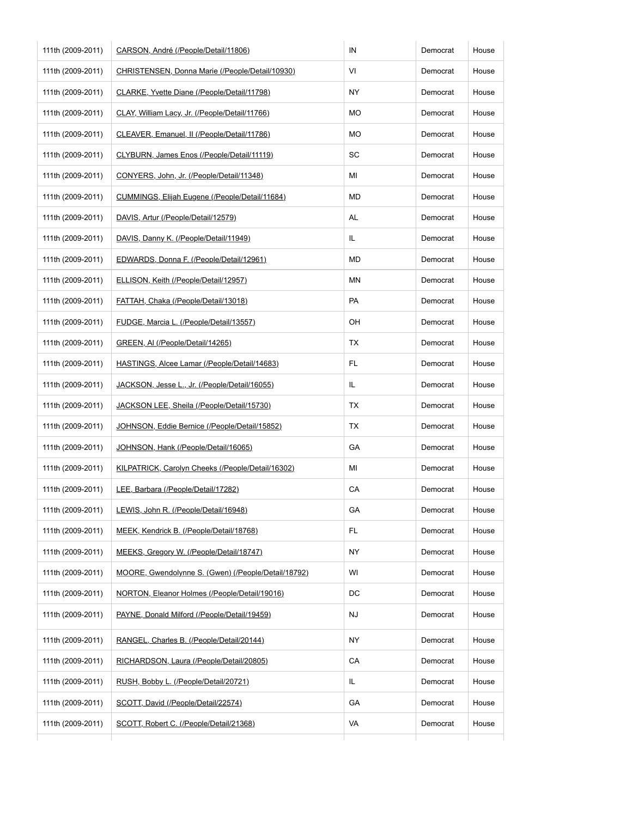| 111th (2009-2011) | CARSON, André (/People/Detail/11806)                | IN  | Democrat | House |
|-------------------|-----------------------------------------------------|-----|----------|-------|
| 111th (2009-2011) | CHRISTENSEN, Donna Marie (/People/Detail/10930)     | VI  | Democrat | House |
| 111th (2009-2011) | CLARKE, Yvette Diane (/People/Detail/11798)         | ΝY  | Democrat | House |
| 111th (2009-2011) | CLAY, William Lacy, Jr. (/People/Detail/11766)      | MO  | Democrat | House |
| 111th (2009-2011) | CLEAVER, Emanuel, II (/People/Detail/11786)         | MO  | Democrat | House |
| 111th (2009-2011) | CLYBURN, James Enos (/People/Detail/11119)          | SC  | Democrat | House |
| 111th (2009-2011) | CONYERS, John, Jr. (/People/Detail/11348)           | ΜI  | Democrat | House |
| 111th (2009-2011) | CUMMINGS, Elijah Eugene (/People/Detail/11684)      | MD  | Democrat | House |
| 111th (2009-2011) | DAVIS, Artur (/People/Detail/12579)                 | AL  | Democrat | House |
| 111th (2009-2011) | DAVIS, Danny K. (/People/Detail/11949)              | IL. | Democrat | House |
| 111th (2009-2011) | EDWARDS, Donna F. (/People/Detail/12961)            | MD  | Democrat | House |
| 111th (2009-2011) | ELLISON, Keith (/People/Detail/12957)               | ΜN  | Democrat | House |
| 111th (2009-2011) | FATTAH, Chaka (/People/Detail/13018)                | PA  | Democrat | House |
| 111th (2009-2011) | FUDGE, Marcia L. (/People/Detail/13557)             | OH  | Democrat | House |
| 111th (2009-2011) | GREEN, AI (/People/Detail/14265)                    | ТX  | Democrat | House |
| 111th (2009-2011) | HASTINGS, Alcee Lamar (/People/Detail/14683)        | FL. | Democrat | House |
| 111th (2009-2011) | JACKSON, Jesse L., Jr. (/People/Detail/16055)       | IL. | Democrat | House |
| 111th (2009-2011) | JACKSON LEE, Sheila (/People/Detail/15730)          | TX  | Democrat | House |
| 111th (2009-2011) | JOHNSON, Eddie Bernice (/People/Detail/15852)       | ТX  | Democrat | House |
| 111th (2009-2011) | JOHNSON, Hank (/People/Detail/16065)                | GA  | Democrat | House |
| 111th (2009-2011) | KILPATRICK, Carolyn Cheeks (/People/Detail/16302)   | ΜI  | Democrat | House |
| 111th (2009-2011) | LEE, Barbara (/People/Detail/17282)                 | CA  | Democrat | House |
| 111th (2009-2011) | LEWIS, John R. (/People/Detail/16948)               | GA  | Democrat | House |
| 111th (2009-2011) | MEEK, Kendrick B. (/People/Detail/18768)            | FL. | Democrat | House |
| 111th (2009-2011) | MEEKS, Gregory W. (/People/Detail/18747)            | ΝY  | Democrat | House |
| 111th (2009-2011) | MOORE, Gwendolynne S. (Gwen) (/People/Detail/18792) | WI  | Democrat | House |
| 111th (2009-2011) | NORTON, Eleanor Holmes (/People/Detail/19016)       | DC  | Democrat | House |
| 111th (2009-2011) | PAYNE, Donald Milford (/People/Detail/19459)        | NJ  | Democrat | House |
| 111th (2009-2011) | RANGEL, Charles B. (/People/Detail/20144)           | NY  | Democrat | House |
| 111th (2009-2011) | RICHARDSON, Laura (/People/Detail/20805)            | CA  | Democrat | House |
| 111th (2009-2011) | RUSH, Bobby L. (/People/Detail/20721)               | IL. | Democrat | House |
| 111th (2009-2011) | SCOTT, David (/People/Detail/22574)                 | GA  | Democrat | House |
| 111th (2009-2011) | SCOTT, Robert C. (/People/Detail/21368)             | VA  | Democrat | House |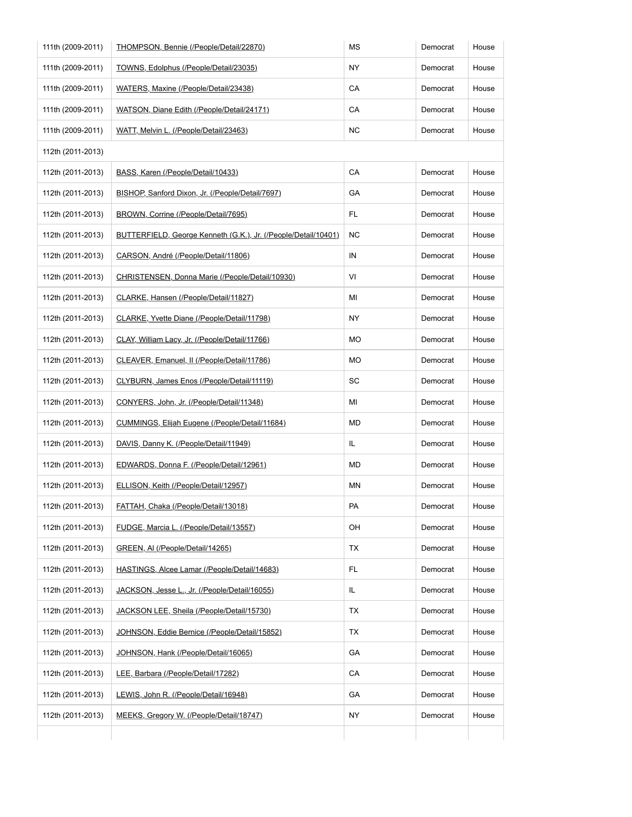| 111th (2009-2011) | THOMPSON, Bennie (/People/Detail/22870)                        | МS        | Democrat | House |
|-------------------|----------------------------------------------------------------|-----------|----------|-------|
| 111th (2009-2011) | TOWNS, Edolphus (/People/Detail/23035)                         | <b>NY</b> | Democrat | House |
| 111th (2009-2011) | WATERS, Maxine (/People/Detail/23438)                          | CA        | Democrat | House |
| 111th (2009-2011) | WATSON, Diane Edith (/People/Detail/24171)                     | CA        | Democrat | House |
| 111th (2009-2011) | WATT, Melvin L. (/People/Detail/23463)                         | <b>NC</b> | Democrat | House |
| 112th (2011-2013) |                                                                |           |          |       |
| 112th (2011-2013) | BASS, Karen (/People/Detail/10433)                             | CA        | Democrat | House |
| 112th (2011-2013) | BISHOP, Sanford Dixon, Jr. (/People/Detail/7697)               | GA        | Democrat | House |
| 112th (2011-2013) | BROWN, Corrine (/People/Detail/7695)                           | FL.       | Democrat | House |
| 112th (2011-2013) | BUTTERFIELD, George Kenneth (G.K.), Jr. (/People/Detail/10401) | <b>NC</b> | Democrat | House |
| 112th (2011-2013) | CARSON, André (/People/Detail/11806)                           | IN        | Democrat | House |
| 112th (2011-2013) | CHRISTENSEN, Donna Marie (/People/Detail/10930)                | VI        | Democrat | House |
| 112th (2011-2013) | CLARKE, Hansen (/People/Detail/11827)                          | ΜI        | Democrat | House |
| 112th (2011-2013) | CLARKE, Yvette Diane (/People/Detail/11798)                    | <b>NY</b> | Democrat | House |
| 112th (2011-2013) | CLAY, William Lacy, Jr. (/People/Detail/11766)                 | МO        | Democrat | House |
| 112th (2011-2013) | CLEAVER, Emanuel, II (/People/Detail/11786)                    | МO        | Democrat | House |
| 112th (2011-2013) | CLYBURN, James Enos (/People/Detail/11119)                     | SC        | Democrat | House |
| 112th (2011-2013) | CONYERS, John, Jr. (/People/Detail/11348)                      | MI        | Democrat | House |
| 112th (2011-2013) | CUMMINGS, Elijah Eugene (/People/Detail/11684)                 | MD        | Democrat | House |
| 112th (2011-2013) | DAVIS, Danny K. (/People/Detail/11949)                         | IL        | Democrat | House |
| 112th (2011-2013) | EDWARDS, Donna F. (/People/Detail/12961)                       | MD        | Democrat | House |
| 112th (2011-2013) | ELLISON, Keith (/People/Detail/12957)                          | MN        | Democrat | House |
| 112th (2011-2013) | <b>FATTAH, Chaka (/People/Detail/13018)</b>                    | PA        | Democrat | House |
| 112th (2011-2013) | FUDGE, Marcia L. (/People/Detail/13557)                        | OH        | Democrat | House |
| 112th (2011-2013) | GREEN, AI (/People/Detail/14265)                               | ТX        | Democrat | House |
| 112th (2011-2013) | HASTINGS, Alcee Lamar (/People/Detail/14683)                   | FL.       | Democrat | House |
| 112th (2011-2013) | JACKSON, Jesse L., Jr. (/People/Detail/16055)                  | IL.       | Democrat | House |
| 112th (2011-2013) | JACKSON LEE, Sheila (/People/Detail/15730)                     | ТX        | Democrat | House |
| 112th (2011-2013) | JOHNSON, Eddie Bernice (/People/Detail/15852)                  | ТX        | Democrat | House |
| 112th (2011-2013) | JOHNSON, Hank (/People/Detail/16065)                           | GA        | Democrat | House |
| 112th (2011-2013) | LEE, Barbara (/People/Detail/17282)                            | CA        | Democrat | House |
| 112th (2011-2013) | LEWIS, John R. (/People/Detail/16948)                          | GA        | Democrat | House |
| 112th (2011-2013) | MEEKS, Gregory W. (/People/Detail/18747)                       | NY        | Democrat | House |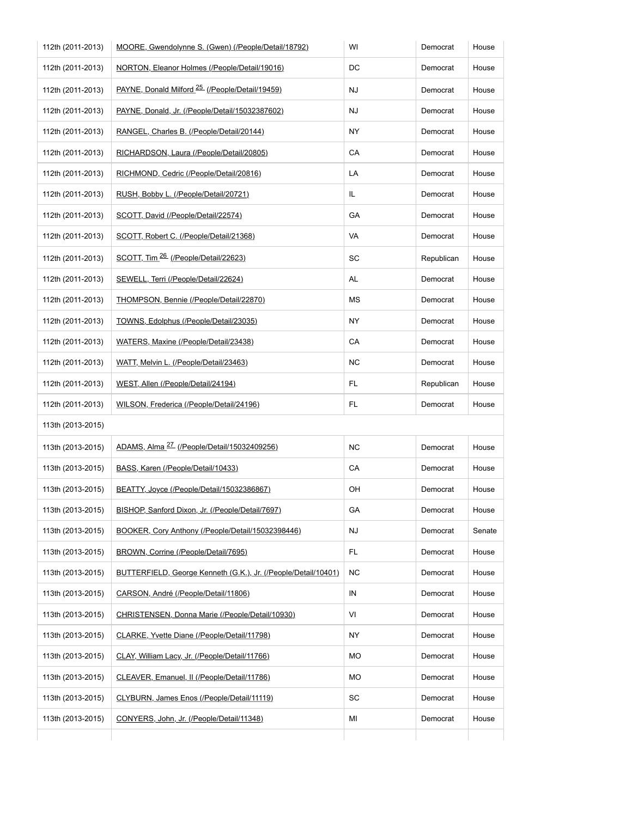| 112th (2011-2013) | MOORE, Gwendolynne S. (Gwen) (/People/Detail/18792)            | WI        | Democrat   | House  |
|-------------------|----------------------------------------------------------------|-----------|------------|--------|
| 112th (2011-2013) | NORTON, Eleanor Holmes (/People/Detail/19016)                  | DC        | Democrat   | House  |
| 112th (2011-2013) | PAYNE, Donald Milford <sup>25</sup> (/People/Detail/19459)     | NJ        | Democrat   | House  |
| 112th (2011-2013) | PAYNE, Donald, Jr. (/People/Detail/15032387602)                | NJ        | Democrat   | House  |
| 112th (2011-2013) | RANGEL, Charles B. (/People/Detail/20144)                      | ΝY        | Democrat   | House  |
| 112th (2011-2013) | RICHARDSON, Laura (/People/Detail/20805)                       | CA        | Democrat   | House  |
| 112th (2011-2013) | RICHMOND, Cedric (/People/Detail/20816)                        | LA        | Democrat   | House  |
| 112th (2011-2013) | RUSH, Bobby L. (/People/Detail/20721)                          | IL.       | Democrat   | House  |
| 112th (2011-2013) | SCOTT, David (/People/Detail/22574)                            | GA        | Democrat   | House  |
| 112th (2011-2013) | SCOTT, Robert C. (/People/Detail/21368)                        | VA        | Democrat   | House  |
| 112th (2011-2013) | SCOTT, Tim <sup>26</sup> (/People/Detail/22623)                | SC        | Republican | House  |
| 112th (2011-2013) | SEWELL, Terri (/People/Detail/22624)                           | AL        | Democrat   | House  |
| 112th (2011-2013) | THOMPSON, Bennie (/People/Detail/22870)                        | МS        | Democrat   | House  |
| 112th (2011-2013) | TOWNS, Edolphus (/People/Detail/23035)                         | ΝY        | Democrat   | House  |
| 112th (2011-2013) | WATERS, Maxine (/People/Detail/23438)                          | CA        | Democrat   | House  |
| 112th (2011-2013) | WATT, Melvin L. (/People/Detail/23463)                         | <b>NC</b> | Democrat   | House  |
| 112th (2011-2013) | WEST, Allen (/People/Detail/24194)                             | FL.       | Republican | House  |
| 112th (2011-2013) | WILSON, Frederica (/People/Detail/24196)                       | FL.       | Democrat   | House  |
| 113th (2013-2015) |                                                                |           |            |        |
| 113th (2013-2015) | ADAMS, Alma <sup>27</sup> (/People/Detail/15032409256)         | <b>NC</b> | Democrat   | House  |
| 113th (2013-2015) | BASS, Karen (/People/Detail/10433)                             | CA        | Democrat   | House  |
| 113th (2013-2015) | BEATTY, Joyce (/People/Detail/15032386867)                     | OН        | Democrat   | House  |
| 113th (2013-2015) | BISHOP, Sanford Dixon, Jr. (/People/Detail/7697)               | GA        | Democrat   | House  |
| 113th (2013-2015) | BOOKER, Cory Anthony (/People/Detail/15032398446)              | NJ        | Democrat   | Senate |
| 113th (2013-2015) | BROWN, Corrine (/People/Detail/7695)                           | FL.       | Democrat   | House  |
| 113th (2013-2015) | BUTTERFIELD, George Kenneth (G.K.), Jr. (/People/Detail/10401) | <b>NC</b> | Democrat   | House  |
| 113th (2013-2015) | CARSON, André (/People/Detail/11806)                           | IN        | Democrat   | House  |
| 113th (2013-2015) | CHRISTENSEN, Donna Marie (/People/Detail/10930)                | VI        | Democrat   | House  |
| 113th (2013-2015) | CLARKE, Yvette Diane (/People/Detail/11798)                    | NY        | Democrat   | House  |
| 113th (2013-2015) | CLAY, William Lacy, Jr. (/People/Detail/11766)                 | МO        | Democrat   | House  |
| 113th (2013-2015) | CLEAVER, Emanuel, II (/People/Detail/11786)                    | МO        | Democrat   | House  |
| 113th (2013-2015) | CLYBURN, James Enos (/People/Detail/11119)                     | SC        | Democrat   | House  |
| 113th (2013-2015) | CONYERS, John, Jr. (/People/Detail/11348)                      | МI        | Democrat   | House  |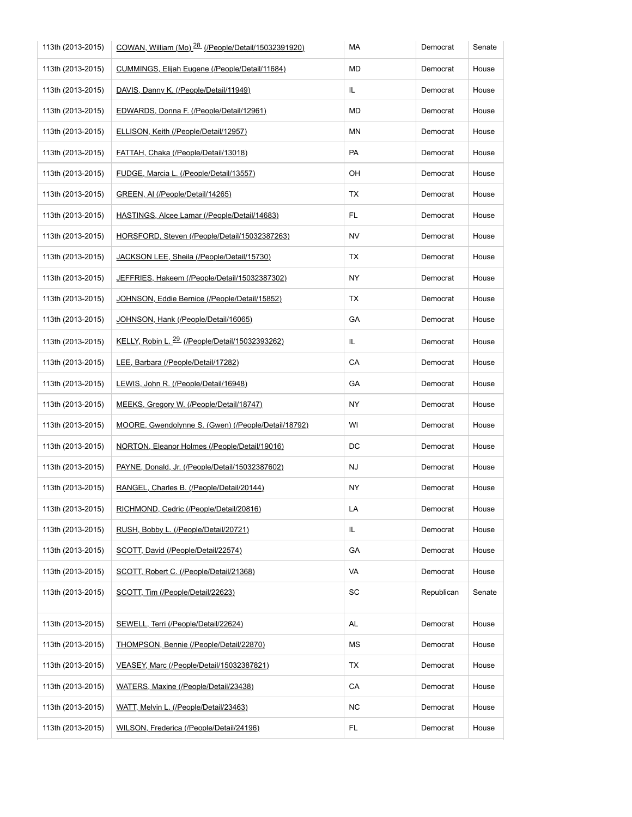| 113th (2013-2015) | COWAN, William (Mo) <sup>28</sup> (/People/Detail/15032391920) | МA        | Democrat   | Senate |
|-------------------|----------------------------------------------------------------|-----------|------------|--------|
| 113th (2013-2015) | CUMMINGS, Elijah Eugene (/People/Detail/11684)                 | MD        | Democrat   | House  |
| 113th (2013-2015) | DAVIS, Danny K. (/People/Detail/11949)                         | IL        | Democrat   | House  |
| 113th (2013-2015) | EDWARDS, Donna F. (/People/Detail/12961)                       | MD        | Democrat   | House  |
| 113th (2013-2015) | ELLISON, Keith (/People/Detail/12957)                          | ΜN        | Democrat   | House  |
| 113th (2013-2015) | <b>FATTAH, Chaka (/People/Detail/13018)</b>                    | PA        | Democrat   | House  |
| 113th (2013-2015) | FUDGE, Marcia L. (/People/Detail/13557)                        | OН        | Democrat   | House  |
| 113th (2013-2015) | GREEN, AI (/People/Detail/14265)                               | ТX        | Democrat   | House  |
| 113th (2013-2015) | HASTINGS, Alcee Lamar (/People/Detail/14683)                   | FL        | Democrat   | House  |
| 113th (2013-2015) | HORSFORD, Steven (/People/Detail/15032387263)                  | <b>NV</b> | Democrat   | House  |
| 113th (2013-2015) | JACKSON LEE, Sheila (/People/Detail/15730)                     | ТX        | Democrat   | House  |
| 113th (2013-2015) | JEFFRIES, Hakeem (/People/Detail/15032387302)                  | ΝY        | Democrat   | House  |
| 113th (2013-2015) | JOHNSON, Eddie Bernice (/People/Detail/15852)                  | TX        | Democrat   | House  |
| 113th (2013-2015) | JOHNSON, Hank (/People/Detail/16065)                           | GА        | Democrat   | House  |
| 113th (2013-2015) | KELLY, Robin L. <sup>29</sup> (/People/Detail/15032393262)     | IL        | Democrat   | House  |
| 113th (2013-2015) | LEE, Barbara (/People/Detail/17282)                            | CA        | Democrat   | House  |
| 113th (2013-2015) | LEWIS, John R. (/People/Detail/16948)                          | GA        | Democrat   | House  |
| 113th (2013-2015) | MEEKS, Gregory W. (/People/Detail/18747)                       | NY.       | Democrat   | House  |
| 113th (2013-2015) | MOORE, Gwendolynne S. (Gwen) (/People/Detail/18792)            | WI        | Democrat   | House  |
| 113th (2013-2015) | NORTON, Eleanor Holmes (/People/Detail/19016)                  | DC        | Democrat   | House  |
| 113th (2013-2015) | PAYNE, Donald, Jr. (/People/Detail/15032387602)                | <b>NJ</b> | Democrat   | House  |
| 113th (2013-2015) | RANGEL, Charles B. (/People/Detail/20144)                      | NY        | Democrat   | House  |
| 113th (2013-2015) | RICHMOND, Cedric (/People/Detail/20816)                        | LA        | Democrat   | House  |
| 113th (2013-2015) | RUSH, Bobby L. (/People/Detail/20721)                          | IL        | Democrat   | House  |
| 113th (2013-2015) | SCOTT, David (/People/Detail/22574)                            | GA        | Democrat   | House  |
| 113th (2013-2015) | SCOTT, Robert C. (/People/Detail/21368)                        | VA        | Democrat   | House  |
| 113th (2013-2015) | SCOTT, Tim (/People/Detail/22623)                              | SC        | Republican | Senate |
| 113th (2013-2015) | SEWELL, Terri (/People/Detail/22624)                           | AL        | Democrat   | House  |
| 113th (2013-2015) | THOMPSON, Bennie (/People/Detail/22870)                        | ΜS        | Democrat   | House  |
| 113th (2013-2015) | VEASEY, Marc (/People/Detail/15032387821)                      | ТX        | Democrat   | House  |
| 113th (2013-2015) | WATERS, Maxine (/People/Detail/23438)                          | CA        | Democrat   | House  |
| 113th (2013-2015) | WATT, Melvin L. (/People/Detail/23463)                         | <b>NC</b> | Democrat   | House  |
| 113th (2013-2015) | WILSON, Frederica (/People/Detail/24196)                       | FL.       | Democrat   | House  |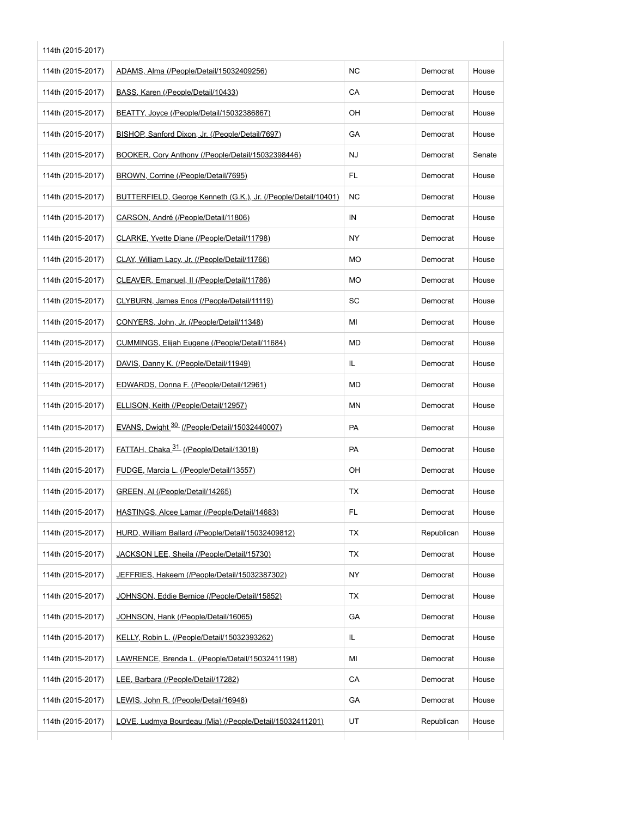| 114th (2015-2017) | ADAMS, Alma (/People/Detail/15032409256)                       | <b>NC</b> | Democrat   | House  |
|-------------------|----------------------------------------------------------------|-----------|------------|--------|
| 114th (2015-2017) | BASS, Karen (/People/Detail/10433)                             | CA        | Democrat   | House  |
| 114th (2015-2017) | BEATTY, Joyce (/People/Detail/15032386867)                     | OH        | Democrat   | House  |
| 114th (2015-2017) | BISHOP, Sanford Dixon, Jr. (/People/Detail/7697)               | GA        | Democrat   | House  |
| 114th (2015-2017) | BOOKER, Cory Anthony (/People/Detail/15032398446)              | NJ        | Democrat   | Senate |
| 114th (2015-2017) | BROWN, Corrine (/People/Detail/7695)                           | FL.       | Democrat   | House  |
| 114th (2015-2017) | BUTTERFIELD, George Kenneth (G.K.), Jr. (/People/Detail/10401) | <b>NC</b> | Democrat   | House  |
| 114th (2015-2017) | CARSON, André (/People/Detail/11806)                           | IN        | Democrat   | House  |
| 114th (2015-2017) | CLARKE, Yvette Diane (/People/Detail/11798)                    | NY.       | Democrat   | House  |
| 114th (2015-2017) | CLAY, William Lacy, Jr. (/People/Detail/11766)                 | MO        | Democrat   | House  |
| 114th (2015-2017) | CLEAVER, Emanuel, II (/People/Detail/11786)                    | МO        | Democrat   | House  |
| 114th (2015-2017) | CLYBURN, James Enos (/People/Detail/11119)                     | SC        | Democrat   | House  |
| 114th (2015-2017) | CONYERS, John, Jr. (/People/Detail/11348)                      | ΜI        | Democrat   | House  |
| 114th (2015-2017) | CUMMINGS, Elijah Eugene (/People/Detail/11684)                 | MD        | Democrat   | House  |
| 114th (2015-2017) | DAVIS, Danny K. (/People/Detail/11949)                         | IL.       | Democrat   | House  |
| 114th (2015-2017) | EDWARDS, Donna F. (/People/Detail/12961)                       | MD        | Democrat   | House  |
| 114th (2015-2017) | ELLISON, Keith (/People/Detail/12957)                          | ΜN        | Democrat   | House  |
| 114th (2015-2017) | EVANS, Dwight 30 (/People/Detail/15032440007)                  | PA        | Democrat   | House  |
| 114th (2015-2017) | FATTAH, Chaka <sup>31</sup> (/People/Detail/13018)             | PA        | Democrat   | House  |
| 114th (2015-2017) | FUDGE, Marcia L. (/People/Detail/13557)                        | OH        | Democrat   | House  |
| 114th (2015-2017) | GREEN, AI (/People/Detail/14265)                               | TX        | Democrat   | House  |
| 114th (2015-2017) | HASTINGS, Alcee Lamar (/People/Detail/14683)                   | FL.       | Democrat   | House  |
| 114th (2015-2017) | HURD, William Ballard (/People/Detail/15032409812)             | TX        | Republican | House  |
| 114th (2015-2017) | JACKSON LEE, Sheila (/People/Detail/15730)                     | TX        | Democrat   | House  |
| 114th (2015-2017) | JEFFRIES, Hakeem (/People/Detail/15032387302)                  | <b>NY</b> | Democrat   | House  |
| 114th (2015-2017) | JOHNSON, Eddie Bernice (/People/Detail/15852)                  | TX        | Democrat   | House  |
| 114th (2015-2017) | JOHNSON, Hank (/People/Detail/16065)                           | GA        | Democrat   | House  |
| 114th (2015-2017) | KELLY, Robin L. (/People/Detail/15032393262)                   | IL        | Democrat   | House  |
| 114th (2015-2017) | LAWRENCE, Brenda L. (/People/Detail/15032411198)               | ΜI        | Democrat   | House  |
| 114th (2015-2017) | LEE, Barbara (/People/Detail/17282)                            | CA        | Democrat   | House  |
| 114th (2015-2017) | LEWIS, John R. (/People/Detail/16948)                          | GA        | Democrat   | House  |
| 114th (2015-2017) | LOVE, Ludmya Bourdeau (Mia) (/People/Detail/15032411201)       | UT        | Republican | House  |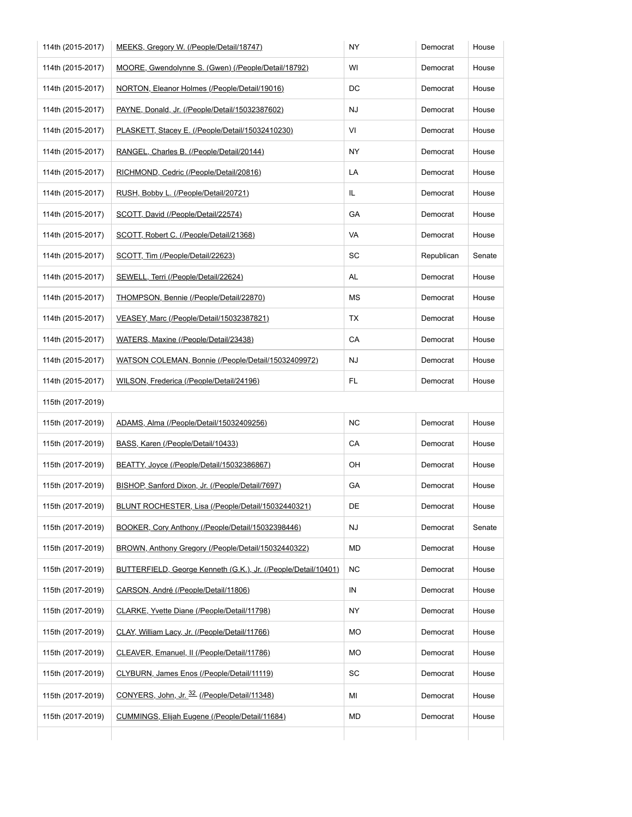| 114th (2015-2017) | MEEKS, Gregory W. (/People/Detail/18747)                       | NY        | Democrat   | House  |
|-------------------|----------------------------------------------------------------|-----------|------------|--------|
| 114th (2015-2017) | MOORE, Gwendolynne S. (Gwen) (/People/Detail/18792)            | WI        | Democrat   | House  |
| 114th (2015-2017) | NORTON, Eleanor Holmes (/People/Detail/19016)                  | DC        | Democrat   | House  |
| 114th (2015-2017) | PAYNE, Donald, Jr. (/People/Detail/15032387602)                | NJ        | Democrat   | House  |
| 114th (2015-2017) | PLASKETT, Stacey E. (/People/Detail/15032410230)               | VI        | Democrat   | House  |
| 114th (2015-2017) | RANGEL, Charles B. (/People/Detail/20144)                      | NY        | Democrat   | House  |
| 114th (2015-2017) | RICHMOND, Cedric (/People/Detail/20816)                        | LA        | Democrat   | House  |
| 114th (2015-2017) | RUSH, Bobby L. (/People/Detail/20721)                          | IL        | Democrat   | House  |
| 114th (2015-2017) | SCOTT, David (/People/Detail/22574)                            | GА        | Democrat   | House  |
| 114th (2015-2017) | SCOTT, Robert C. (/People/Detail/21368)                        | VA        | Democrat   | House  |
| 114th (2015-2017) | SCOTT, Tim (/People/Detail/22623)                              | SC        | Republican | Senate |
| 114th (2015-2017) | SEWELL, Terri (/People/Detail/22624)                           | AL        | Democrat   | House  |
| 114th (2015-2017) | THOMPSON, Bennie (/People/Detail/22870)                        | МS        | Democrat   | House  |
| 114th (2015-2017) | VEASEY, Marc (/People/Detail/15032387821)                      | ТX        | Democrat   | House  |
| 114th (2015-2017) | WATERS, Maxine (/People/Detail/23438)                          | CA        | Democrat   | House  |
| 114th (2015-2017) | WATSON COLEMAN, Bonnie (/People/Detail/15032409972)            | NJ        | Democrat   | House  |
| 114th (2015-2017) | WILSON, Frederica (/People/Detail/24196)                       | FL.       | Democrat   | House  |
| 115th (2017-2019) |                                                                |           |            |        |
| 115th (2017-2019) | ADAMS, Alma (/People/Detail/15032409256)                       | <b>NC</b> | Democrat   | House  |
| 115th (2017-2019) | BASS, Karen (/People/Detail/10433)                             | СA        | Democrat   | House  |
| 115th (2017-2019) | BEATTY, Joyce (/People/Detail/15032386867)                     | OН        | Democrat   | House  |
| 115th (2017-2019) | BISHOP, Sanford Dixon, Jr. (/People/Detail/7697)               | GA        | Democrat   | House  |
| 115th (2017-2019) | BLUNT ROCHESTER, Lisa (/People/Detail/15032440321)             | DE        | Democrat   | House  |
| 115th (2017-2019) | BOOKER, Cory Anthony (/People/Detail/15032398446)              | NJ        | Democrat   | Senate |
| 115th (2017-2019) | BROWN, Anthony Gregory (/People/Detail/15032440322)            | MD        | Democrat   | House  |
| 115th (2017-2019) | BUTTERFIELD, George Kenneth (G.K.), Jr. (/People/Detail/10401) | NC.       | Democrat   | House  |
| 115th (2017-2019) | CARSON, André (/People/Detail/11806)                           | IN        | Democrat   | House  |
| 115th (2017-2019) | CLARKE, Yvette Diane (/People/Detail/11798)                    | ΝY        | Democrat   | House  |
| 115th (2017-2019) | CLAY, William Lacy, Jr. (/People/Detail/11766)                 | МO        | Democrat   | House  |
| 115th (2017-2019) | CLEAVER, Emanuel, II (/People/Detail/11786)                    | МO        | Democrat   | House  |
| 115th (2017-2019) | CLYBURN, James Enos (/People/Detail/11119)                     | SC        | Democrat   | House  |
|                   | CONYERS, John, Jr. 32 (/People/Detail/11348)                   | MI        | Democrat   | House  |
| 115th (2017-2019) |                                                                |           |            |        |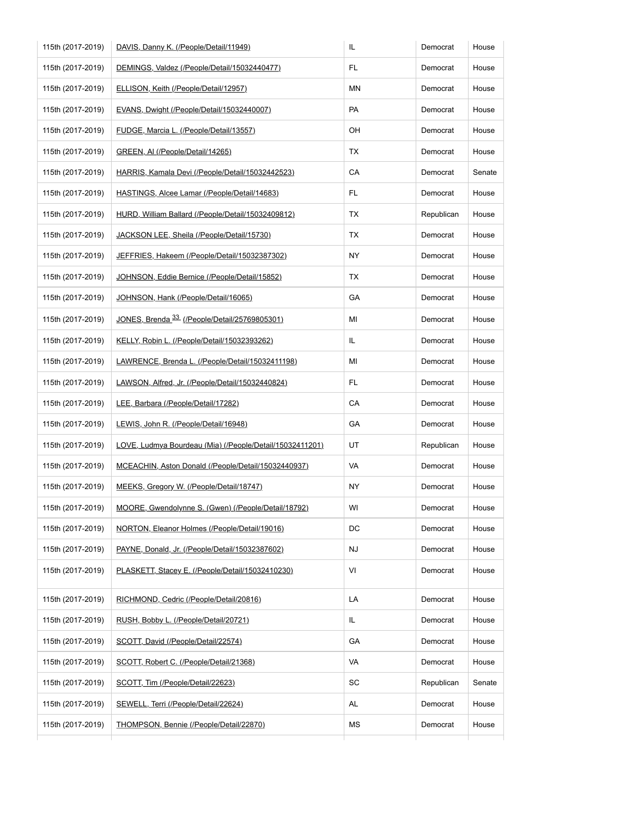| 115th (2017-2019) | DAVIS, Danny K. (/People/Detail/11949)                   | IL.       | Democrat   | House  |
|-------------------|----------------------------------------------------------|-----------|------------|--------|
| 115th (2017-2019) | DEMINGS, Valdez (/People/Detail/15032440477)             | FL        | Democrat   | House  |
| 115th (2017-2019) | ELLISON, Keith (/People/Detail/12957)                    | ΜN        | Democrat   | House  |
| 115th (2017-2019) | EVANS, Dwight (/People/Detail/15032440007)               | PA        | Democrat   | House  |
| 115th (2017-2019) | FUDGE, Marcia L. (/People/Detail/13557)                  | OH        | Democrat   | House  |
| 115th (2017-2019) | GREEN, AI (/People/Detail/14265)                         | ТX        | Democrat   | House  |
| 115th (2017-2019) | HARRIS, Kamala Devi (/People/Detail/15032442523)         | СA        | Democrat   | Senate |
| 115th (2017-2019) | HASTINGS, Alcee Lamar (/People/Detail/14683)             | FL.       | Democrat   | House  |
| 115th (2017-2019) | HURD, William Ballard (/People/Detail/15032409812)       | ТX        | Republican | House  |
| 115th (2017-2019) | JACKSON LEE, Sheila (/People/Detail/15730)               | TX        | Democrat   | House  |
| 115th (2017-2019) | JEFFRIES, Hakeem (/People/Detail/15032387302)            | <b>NY</b> | Democrat   | House  |
| 115th (2017-2019) | JOHNSON, Eddie Bernice (/People/Detail/15852)            | TX        | Democrat   | House  |
| 115th (2017-2019) | JOHNSON, Hank (/People/Detail/16065)                     | GA        | Democrat   | House  |
| 115th (2017-2019) | JONES, Brenda <sup>33</sup> (/People/Detail/25769805301) | ΜI        | Democrat   | House  |
| 115th (2017-2019) | KELLY, Robin L. (/People/Detail/15032393262)             | IL        | Democrat   | House  |
| 115th (2017-2019) | LAWRENCE, Brenda L. (/People/Detail/15032411198)         | ΜI        | Democrat   | House  |
| 115th (2017-2019) | LAWSON, Alfred, Jr. (/People/Detail/15032440824)         | FL        | Democrat   | House  |
| 115th (2017-2019) | LEE, Barbara (/People/Detail/17282)                      | CA        | Democrat   | House  |
| 115th (2017-2019) | LEWIS, John R. (/People/Detail/16948)                    | GA        | Democrat   | House  |
| 115th (2017-2019) | LOVE, Ludmya Bourdeau (Mia) (/People/Detail/15032411201) | UT        | Republican | House  |
| 115th (2017-2019) | MCEACHIN, Aston Donald (/People/Detail/15032440937)      | VA        | Democrat   | House  |
| 115th (2017-2019) | MEEKS, Gregory W. (/People/Detail/18747)                 | ΝY        | Democrat   | House  |
| 115th (2017-2019) | MOORE, Gwendolynne S. (Gwen) (/People/Detail/18792)      | WI        | Democrat   | House  |
| 115th (2017-2019) | NORTON, Eleanor Holmes (/People/Detail/19016)            | DC        | Democrat   | House  |
| 115th (2017-2019) | PAYNE, Donald, Jr. (/People/Detail/15032387602)          | NJ        | Democrat   | House  |
| 115th (2017-2019) | PLASKETT, Stacey E. (/People/Detail/15032410230)         | VI        | Democrat   | House  |
| 115th (2017-2019) | RICHMOND, Cedric (/People/Detail/20816)                  | LA        | Democrat   | House  |
| 115th (2017-2019) | RUSH, Bobby L. (/People/Detail/20721)                    | IL.       | Democrat   | House  |
| 115th (2017-2019) | SCOTT, David (/People/Detail/22574)                      | GA        | Democrat   | House  |
| 115th (2017-2019) | SCOTT, Robert C. (/People/Detail/21368)                  | VA        | Democrat   | House  |
| 115th (2017-2019) | SCOTT, Tim (/People/Detail/22623)                        | SC        | Republican | Senate |
| 115th (2017-2019) | SEWELL, Terri (/People/Detail/22624)                     | AL        | Democrat   | House  |
| 115th (2017-2019) | THOMPSON, Bennie (/People/Detail/22870)                  | МS        | Democrat   | House  |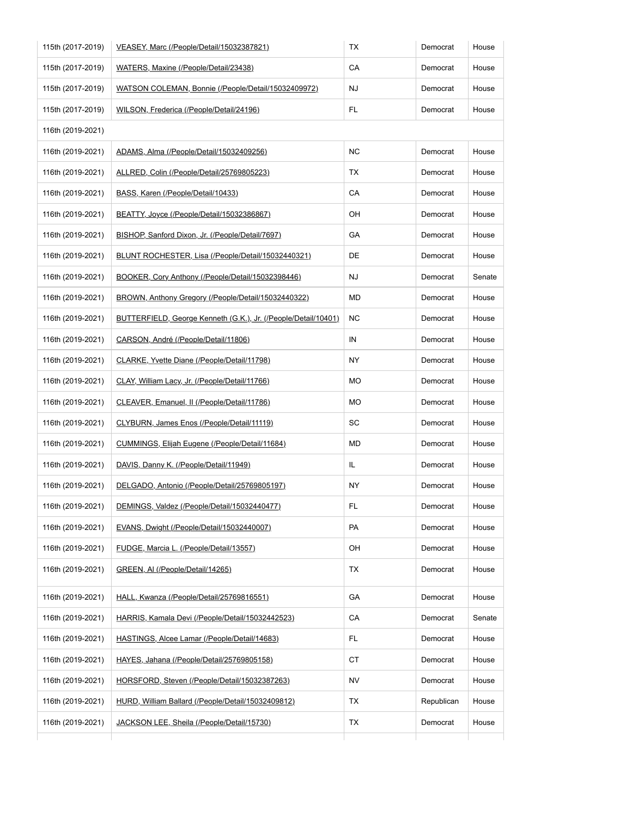| 115th (2017-2019) | VEASEY, Marc (/People/Detail/15032387821)                      | ТX        | Democrat   | House  |
|-------------------|----------------------------------------------------------------|-----------|------------|--------|
| 115th (2017-2019) | WATERS, Maxine (/People/Detail/23438)                          | CA        | Democrat   | House  |
| 115th (2017-2019) | WATSON COLEMAN, Bonnie (/People/Detail/15032409972)            | NJ        | Democrat   | House  |
| 115th (2017-2019) | WILSON, Frederica (/People/Detail/24196)                       | FL.       | Democrat   | House  |
| 116th (2019-2021) |                                                                |           |            |        |
| 116th (2019-2021) | ADAMS, Alma (/People/Detail/15032409256)                       | <b>NC</b> | Democrat   | House  |
| 116th (2019-2021) | ALLRED, Colin (/People/Detail/25769805223)                     | ТX        | Democrat   | House  |
| 116th (2019-2021) | BASS, Karen (/People/Detail/10433)                             | CA        | Democrat   | House  |
| 116th (2019-2021) | BEATTY, Joyce (/People/Detail/15032386867)                     | OH        | Democrat   | House  |
| 116th (2019-2021) | BISHOP, Sanford Dixon, Jr. (/People/Detail/7697)               | GA        | Democrat   | House  |
| 116th (2019-2021) | BLUNT ROCHESTER, Lisa (/People/Detail/15032440321)             | DE        | Democrat   | House  |
| 116th (2019-2021) | BOOKER, Cory Anthony (/People/Detail/15032398446)              | NJ        | Democrat   | Senate |
| 116th (2019-2021) | BROWN, Anthony Gregory (/People/Detail/15032440322)            | MD        | Democrat   | House  |
| 116th (2019-2021) | BUTTERFIELD, George Kenneth (G.K.), Jr. (/People/Detail/10401) | <b>NC</b> | Democrat   | House  |
| 116th (2019-2021) | CARSON, André (/People/Detail/11806)                           | IN        | Democrat   | House  |
| 116th (2019-2021) | CLARKE, Yvette Diane (/People/Detail/11798)                    | NY.       | Democrat   | House  |
| 116th (2019-2021) | CLAY, William Lacy, Jr. (/People/Detail/11766)                 | MO        | Democrat   | House  |
| 116th (2019-2021) | CLEAVER, Emanuel, II (/People/Detail/11786)                    | MO        | Democrat   | House  |
| 116th (2019-2021) | CLYBURN, James Enos (/People/Detail/11119)                     | SC        | Democrat   | House  |
| 116th (2019-2021) | CUMMINGS, Elijah Eugene (/People/Detail/11684)                 | MD        | Democrat   | House  |
| 116th (2019-2021) | DAVIS, Danny K. (/People/Detail/11949)                         | IL        | Democrat   | House  |
| 116th (2019-2021) | DELGADO, Antonio (/People/Detail/25769805197)                  | NY.       | Democrat   | House  |
| 116th (2019-2021) | DEMINGS, Valdez (/People/Detail/15032440477)                   | FL.       | Democrat   | House  |
| 116th (2019-2021) | EVANS, Dwight (/People/Detail/15032440007)                     | PA        | Democrat   | House  |
| 116th (2019-2021) | FUDGE, Marcia L. (/People/Detail/13557)                        | OH        | Democrat   | House  |
| 116th (2019-2021) | GREEN, AI (/People/Detail/14265)                               | ТX        | Democrat   | House  |
| 116th (2019-2021) | HALL, Kwanza (/People/Detail/25769816551)                      | GA        | Democrat   | House  |
| 116th (2019-2021) | HARRIS, Kamala Devi (/People/Detail/15032442523)               | CA        | Democrat   | Senate |
| 116th (2019-2021) | HASTINGS, Alcee Lamar (/People/Detail/14683)                   | FL.       | Democrat   | House  |
| 116th (2019-2021) | HAYES, Jahana (/People/Detail/25769805158)                     | <b>CT</b> | Democrat   | House  |
| 116th (2019-2021) | HORSFORD, Steven (/People/Detail/15032387263)                  | NV        | Democrat   | House  |
| 116th (2019-2021) | HURD, William Ballard (/People/Detail/15032409812)             | TX        | Republican | House  |
| 116th (2019-2021) | JACKSON LEE, Sheila (/People/Detail/15730)                     | ТX        | Democrat   | House  |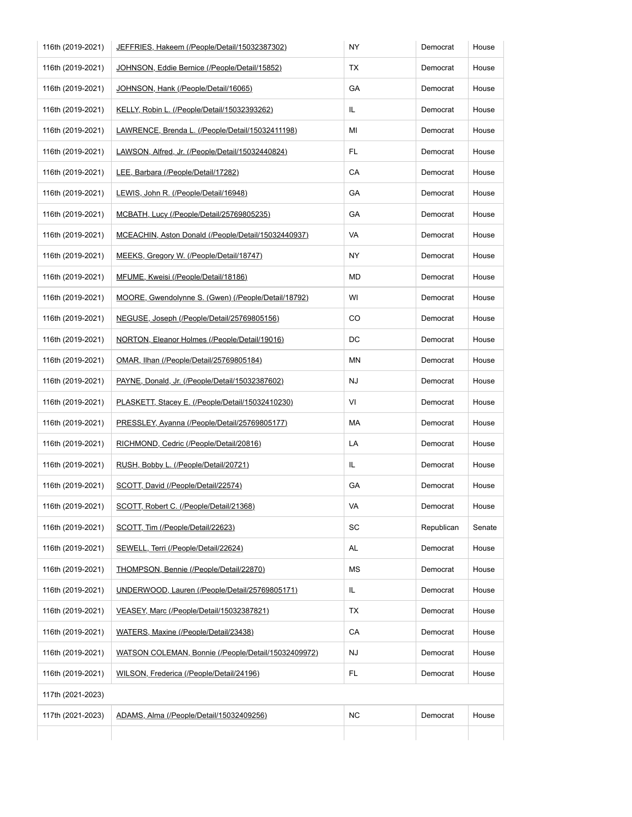| 116th (2019-2021) | JEFFRIES, Hakeem (/People/Detail/15032387302)       | <b>NY</b> | Democrat   | House  |
|-------------------|-----------------------------------------------------|-----------|------------|--------|
| 116th (2019-2021) | JOHNSON, Eddie Bernice (/People/Detail/15852)       | TX        | Democrat   | House  |
| 116th (2019-2021) | JOHNSON, Hank (/People/Detail/16065)                | GA        | Democrat   | House  |
| 116th (2019-2021) | KELLY, Robin L. (/People/Detail/15032393262)        | IL        | Democrat   | House  |
| 116th (2019-2021) | LAWRENCE, Brenda L. (/People/Detail/15032411198)    | MI        | Democrat   | House  |
| 116th (2019-2021) | LAWSON, Alfred, Jr. (/People/Detail/15032440824)    | FL.       | Democrat   | House  |
| 116th (2019-2021) | LEE, Barbara (/People/Detail/17282)                 | СA        | Democrat   | House  |
| 116th (2019-2021) | LEWIS, John R. (/People/Detail/16948)               | GA        | Democrat   | House  |
| 116th (2019-2021) | MCBATH, Lucy (/People/Detail/25769805235)           | GA        | Democrat   | House  |
| 116th (2019-2021) | MCEACHIN, Aston Donald (/People/Detail/15032440937) | VA        | Democrat   | House  |
| 116th (2019-2021) | MEEKS, Gregory W. (/People/Detail/18747)            | NY.       | Democrat   | House  |
| 116th (2019-2021) | MFUME, Kweisi (/People/Detail/18186)                | MD        | Democrat   | House  |
| 116th (2019-2021) | MOORE, Gwendolynne S. (Gwen) (/People/Detail/18792) | WI        | Democrat   | House  |
| 116th (2019-2021) | NEGUSE, Joseph (/People/Detail/25769805156)         | CO        | Democrat   | House  |
| 116th (2019-2021) | NORTON, Eleanor Holmes (/People/Detail/19016)       | DC        | Democrat   | House  |
| 116th (2019-2021) | OMAR, Ilhan (/People/Detail/25769805184)            | ΜN        | Democrat   | House  |
| 116th (2019-2021) | PAYNE, Donald, Jr. (/People/Detail/15032387602)     | <b>NJ</b> | Democrat   | House  |
| 116th (2019-2021) | PLASKETT, Stacey E. (/People/Detail/15032410230)    | VI        | Democrat   | House  |
| 116th (2019-2021) | PRESSLEY, Ayanna (/People/Detail/25769805177)       | МA        | Democrat   | House  |
| 116th (2019-2021) | RICHMOND, Cedric (/People/Detail/20816)             | LA        | Democrat   | House  |
| 116th (2019-2021) | RUSH, Bobby L. (/People/Detail/20721)               | IL.       | Democrat   | House  |
| 116th (2019-2021) | SCOTT, David (/People/Detail/22574)                 | GA        | Democrat   | House  |
| 116th (2019-2021) | SCOTT, Robert C. (/People/Detail/21368)             | VA        | Democrat   | House  |
| 116th (2019-2021) | SCOTT, Tim (/People/Detail/22623)                   | SC        | Republican | Senate |
| 116th (2019-2021) | SEWELL, Terri (/People/Detail/22624)                | AL        | Democrat   | House  |
| 116th (2019-2021) | THOMPSON, Bennie (/People/Detail/22870)             | MS        | Democrat   | House  |
| 116th (2019-2021) | UNDERWOOD, Lauren (/People/Detail/25769805171)      | IL.       | Democrat   | House  |
| 116th (2019-2021) | VEASEY, Marc (/People/Detail/15032387821)           | ТX        | Democrat   | House  |
| 116th (2019-2021) | WATERS, Maxine (/People/Detail/23438)               | CA        | Democrat   | House  |
| 116th (2019-2021) | WATSON COLEMAN, Bonnie (/People/Detail/15032409972) | <b>NJ</b> | Democrat   | House  |
| 116th (2019-2021) | WILSON, Frederica (/People/Detail/24196)            | FL.       | Democrat   | House  |
| 117th (2021-2023) |                                                     |           |            |        |
| 117th (2021-2023) | ADAMS, Alma (/People/Detail/15032409256)            | <b>NC</b> | Democrat   | House  |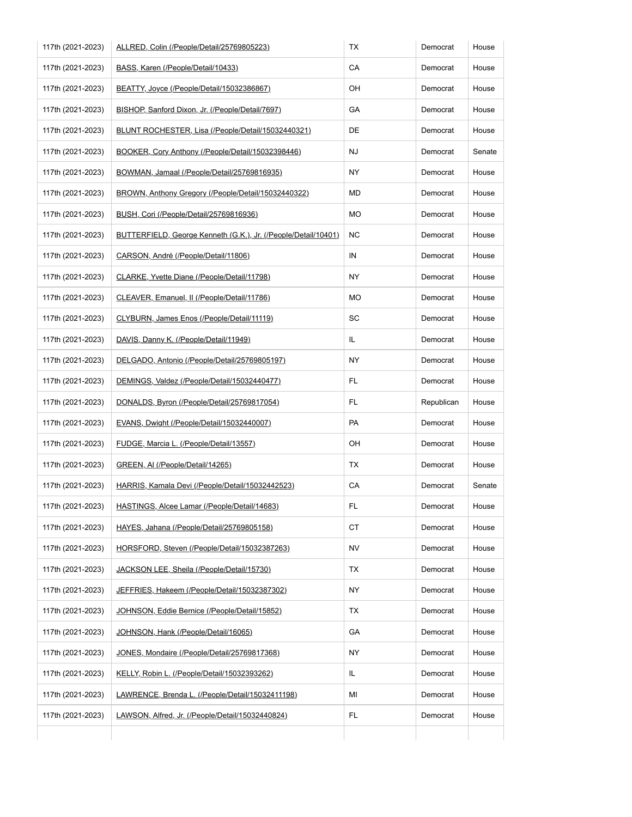| 117th (2021-2023) | ALLRED, Colin (/People/Detail/25769805223)                     | ТX         | Democrat   | House  |
|-------------------|----------------------------------------------------------------|------------|------------|--------|
| 117th (2021-2023) | BASS, Karen (/People/Detail/10433)                             | CA         | Democrat   | House  |
| 117th (2021-2023) | BEATTY, Joyce (/People/Detail/15032386867)                     | OH         | Democrat   | House  |
| 117th (2021-2023) | BISHOP, Sanford Dixon, Jr. (/People/Detail/7697)               | GA         | Democrat   | House  |
| 117th (2021-2023) | BLUNT ROCHESTER, Lisa (/People/Detail/15032440321)             | DE         | Democrat   | House  |
| 117th (2021-2023) | BOOKER, Cory Anthony (/People/Detail/15032398446)              | NJ         | Democrat   | Senate |
| 117th (2021-2023) | BOWMAN, Jamaal (/People/Detail/25769816935)                    | NY         | Democrat   | House  |
| 117th (2021-2023) | BROWN, Anthony Gregory (/People/Detail/15032440322)            | MD         | Democrat   | House  |
| 117th (2021-2023) | BUSH, Cori (/People/Detail/25769816936)                        | MO         | Democrat   | House  |
| 117th (2021-2023) | BUTTERFIELD, George Kenneth (G.K.), Jr. (/People/Detail/10401) | <b>NC</b>  | Democrat   | House  |
| 117th (2021-2023) | CARSON, André (/People/Detail/11806)                           | ${\sf IN}$ | Democrat   | House  |
| 117th (2021-2023) | CLARKE, Yvette Diane (/People/Detail/11798)                    | NY.        | Democrat   | House  |
| 117th (2021-2023) | CLEAVER, Emanuel, II (/People/Detail/11786)                    | MO         | Democrat   | House  |
| 117th (2021-2023) | CLYBURN, James Enos (/People/Detail/11119)                     | SC         | Democrat   | House  |
| 117th (2021-2023) | DAVIS, Danny K. (/People/Detail/11949)                         | IL         | Democrat   | House  |
| 117th (2021-2023) | DELGADO, Antonio (/People/Detail/25769805197)                  | NY.        | Democrat   | House  |
| 117th (2021-2023) | DEMINGS, Valdez (/People/Detail/15032440477)                   | FL.        | Democrat   | House  |
| 117th (2021-2023) | DONALDS, Byron (/People/Detail/25769817054)                    | FL.        | Republican | House  |
| 117th (2021-2023) | EVANS, Dwight (/People/Detail/15032440007)                     | PA         | Democrat   | House  |
| 117th (2021-2023) | FUDGE, Marcia L. (/People/Detail/13557)                        | OH         | Democrat   | House  |
| 117th (2021-2023) | GREEN, AI (/People/Detail/14265)                               | ТX         | Democrat   | House  |
| 117th (2021-2023) | HARRIS, Kamala Devi (/People/Detail/15032442523)               | CA         | Democrat   | Senate |
| 117th (2021-2023) | HASTINGS, Alcee Lamar (/People/Detail/14683)                   | FL.        | Democrat   | House  |
| 117th (2021-2023) | HAYES, Jahana (/People/Detail/25769805158)                     | СT         | Democrat   | House  |
| 117th (2021-2023) | HORSFORD, Steven (/People/Detail/15032387263)                  | NV         | Democrat   | House  |
| 117th (2021-2023) | JACKSON LEE, Sheila (/People/Detail/15730)                     | ТX         | Democrat   | House  |
| 117th (2021-2023) | JEFFRIES, Hakeem (/People/Detail/15032387302)                  | NY.        | Democrat   | House  |
| 117th (2021-2023) | JOHNSON, Eddie Bernice (/People/Detail/15852)                  | ТX         | Democrat   | House  |
| 117th (2021-2023) | JOHNSON, Hank (/People/Detail/16065)                           | GA         | Democrat   | House  |
| 117th (2021-2023) | JONES, Mondaire (/People/Detail/25769817368)                   | NY.        | Democrat   | House  |
| 117th (2021-2023) | KELLY, Robin L. (/People/Detail/15032393262)                   | IL.        | Democrat   | House  |
| 117th (2021-2023) | LAWRENCE, Brenda L. (/People/Detail/15032411198)               | ΜI         | Democrat   | House  |
|                   | LAWSON, Alfred, Jr. (/People/Detail/15032440824)               | FL.        | Democrat   | House  |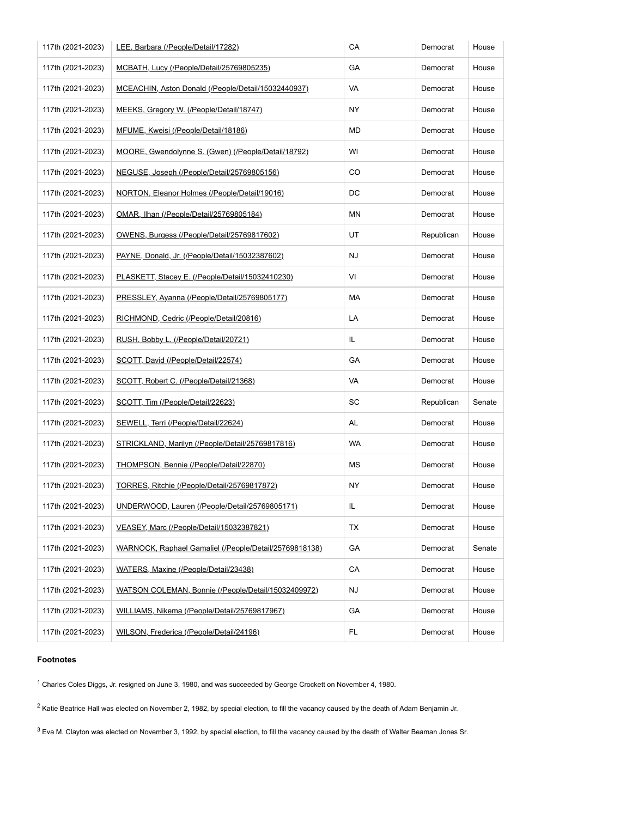| 117th (2021-2023) | LEE, Barbara (/People/Detail/17282)                    | CA        | Democrat   | House  |
|-------------------|--------------------------------------------------------|-----------|------------|--------|
| 117th (2021-2023) | MCBATH, Lucy (/People/Detail/25769805235)              | GA        | Democrat   | House  |
| 117th (2021-2023) | MCEACHIN, Aston Donald (/People/Detail/15032440937)    | VA        | Democrat   | House  |
| 117th (2021-2023) | MEEKS, Gregory W. (/People/Detail/18747)               | NY        | Democrat   | House  |
| 117th (2021-2023) | MFUME, Kweisi (/People/Detail/18186)                   | MD        | Democrat   | House  |
| 117th (2021-2023) | MOORE, Gwendolynne S. (Gwen) (/People/Detail/18792)    | WI        | Democrat   | House  |
| 117th (2021-2023) | NEGUSE, Joseph (/People/Detail/25769805156)            | CO        | Democrat   | House  |
| 117th (2021-2023) | NORTON, Eleanor Holmes (/People/Detail/19016)          | DC        | Democrat   | House  |
| 117th (2021-2023) | OMAR, Ilhan (/People/Detail/25769805184)               | ΜN        | Democrat   | House  |
| 117th (2021-2023) | OWENS, Burgess (/People/Detail/25769817602)            | UT        | Republican | House  |
| 117th (2021-2023) | PAYNE, Donald, Jr. (/People/Detail/15032387602)        | NJ        | Democrat   | House  |
| 117th (2021-2023) | PLASKETT, Stacey E. (/People/Detail/15032410230)       | VI        | Democrat   | House  |
| 117th (2021-2023) | PRESSLEY, Ayanna (/People/Detail/25769805177)          | МA        | Democrat   | House  |
| 117th (2021-2023) | RICHMOND, Cedric (/People/Detail/20816)                | LA        | Democrat   | House  |
| 117th (2021-2023) | RUSH, Bobby L. (/People/Detail/20721)                  | IL        | Democrat   | House  |
| 117th (2021-2023) | SCOTT, David (/People/Detail/22574)                    | GA        | Democrat   | House  |
| 117th (2021-2023) | SCOTT, Robert C. (/People/Detail/21368)                | VA        | Democrat   | House  |
| 117th (2021-2023) | SCOTT, Tim (/People/Detail/22623)                      | SC        | Republican | Senate |
| 117th (2021-2023) | SEWELL, Terri (/People/Detail/22624)                   | AL        | Democrat   | House  |
| 117th (2021-2023) | STRICKLAND, Marilyn (/People/Detail/25769817816)       | <b>WA</b> | Democrat   | House  |
| 117th (2021-2023) | THOMPSON, Bennie (/People/Detail/22870)                | ΜS        | Democrat   | House  |
| 117th (2021-2023) | TORRES, Ritchie (/People/Detail/25769817872)           | NY.       | Democrat   | House  |
| 117th (2021-2023) | UNDERWOOD, Lauren (/People/Detail/25769805171)         | IL        | Democrat   | House  |
| 117th (2021-2023) | VEASEY, Marc (/People/Detail/15032387821)              | ТX        | Democrat   | House  |
| 117th (2021-2023) | WARNOCK, Raphael Gamaliel (/People/Detail/25769818138) | GA        | Democrat   | Senate |
| 117th (2021-2023) | WATERS, Maxine (/People/Detail/23438)                  | CA        | Democrat   | House  |
| 117th (2021-2023) | WATSON COLEMAN, Bonnie (/People/Detail/15032409972)    | NJ        | Democrat   | House  |
| 117th (2021-2023) | WILLIAMS, Nikema (/People/Detail/25769817967)          | GA        | Democrat   | House  |
| 117th (2021-2023) | WILSON, Frederica (/People/Detail/24196)               | FL        | Democrat   | House  |

## **Footnotes**

<sup>1</sup> Charles Coles Diggs, Jr. resigned on June 3, 1980, and was succeeded by George Crockett on November 4, 1980.

 $2$  Katie Beatrice Hall was elected on November 2, 1982, by special election, to fill the vacancy caused by the death of Adam Benjamin Jr.

 $3$  Eva M. Clayton was elected on November 3, 1992, by special election, to fill the vacancy caused by the death of Walter Beaman Jones Sr.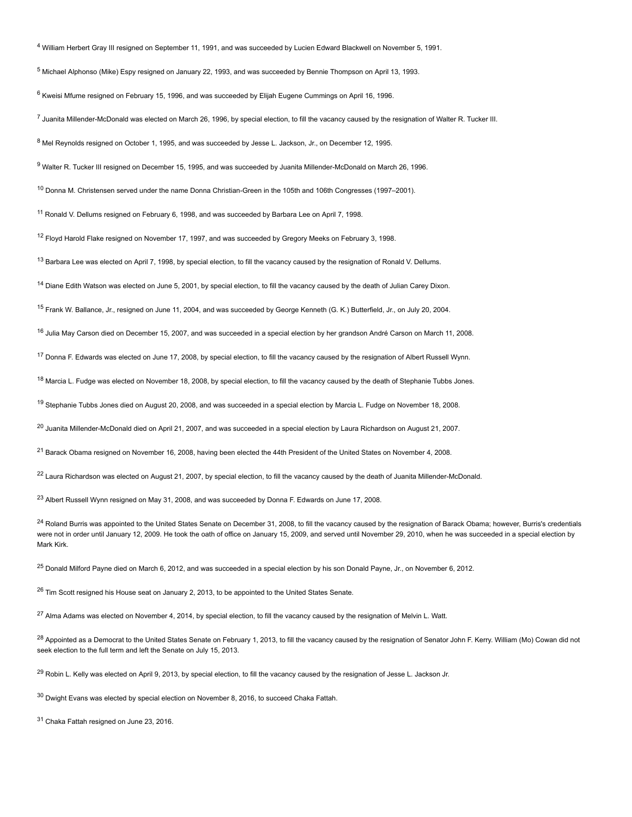<sup>4</sup> William Herbert Gray III resigned on September 11, 1991, and was succeeded by Lucien Edward Blackwell on November 5, 1991.

<sup>5</sup> Michael Alphonso (Mike) Espy resigned on January 22, 1993, and was succeeded by Bennie Thompson on April 13, 1993.

 $6$  Kweisi Mfume resigned on February 15, 1996, and was succeeded by Elijah Eugene Cummings on April 16, 1996.

<sup>7</sup> Juanita Millender-McDonald was elected on March 26, 1996, by special election, to fill the vacancy caused by the resignation of Walter R. Tucker III.

<sup>8</sup> Mel Reynolds resigned on October 1, 1995, and was succeeded by Jesse L. Jackson, Jr., on December 12, 1995.

<sup>9</sup> Walter R. Tucker III resigned on December 15, 1995, and was succeeded by Juanita Millender-McDonald on March 26, 1996.

<sup>10</sup> Donna M. Christensen served under the name Donna Christian-Green in the 105th and 106th Congresses (1997–2001).

<sup>11</sup> Ronald V. Dellums resigned on February 6, 1998, and was succeeded by Barbara Lee on April 7, 1998.

<sup>12</sup> Floyd Harold Flake resigned on November 17, 1997, and was succeeded by Gregory Meeks on February 3, 1998.

<sup>13</sup> Barbara Lee was elected on April 7, 1998, by special election, to fill the vacancy caused by the resignation of Ronald V. Dellums.

<sup>14</sup> Diane Edith Watson was elected on June 5, 2001, by special election, to fill the vacancy caused by the death of Julian Carey Dixon.

<sup>15</sup> Frank W. Ballance, Jr., resigned on June 11, 2004, and was succeeded by George Kenneth (G. K.) Butterfield, Jr., on July 20, 2004.

<sup>16</sup> Julia Mav Carson died on December 15, 2007, and was succeeded in a special election by her grandson André Carson on March 11, 2008.

<sup>17</sup> Donna F. Edwards was elected on June 17, 2008, by special election, to fill the vacancy caused by the resignation of Albert Russell Wynn.

<sup>18</sup> Marcia L. Fudge was elected on November 18, 2008, by special election, to fill the vacancy caused by the death of Stephanie Tubbs Jones.

<sup>19</sup> Stephanie Tubbs Jones died on August 20, 2008, and was succeeded in a special election by Marcia L. Fudge on November 18, 2008.

 $^{20}$  Juanita Millender-McDonald died on April 21, 2007, and was succeeded in a special election by Laura Richardson on August 21, 2007.

<sup>21</sup> Barack Obama resigned on November 16, 2008, having been elected the 44th President of the United States on November 4, 2008.

<sup>22</sup> Laura Richardson was elected on August 21, 2007, by special election, to fill the vacancy caused by the death of Juanita Millender-McDonald.

<sup>23</sup> Albert Russell Wynn resigned on May 31, 2008, and was succeeded by Donna F. Edwards on June 17, 2008.

 $^{24}$  Roland Burris was appointed to the United States Senate on December 31, 2008, to fill the vacancy caused by the resignation of Barack Obama; however, Burris's credentials were not in order until January 12, 2009. He took the oath of office on January 15, 2009, and served until November 29, 2010, when he was succeeded in a special election by Mark Kirk.

<sup>25</sup> Donald Milford Payne died on March 6, 2012, and was succeeded in a special election by his son Donald Payne, Jr., on November 6, 2012.

<sup>26</sup> Tim Scott resigned his House seat on January 2, 2013, to be appointed to the United States Senate.

 $^{27}$  Alma Adams was elected on November 4, 2014, by special election, to fill the vacancy caused by the resignation of Melvin L. Watt.

 $^{28}$  Appointed as a Democrat to the United States Senate on February 1, 2013, to fill the vacancy caused by the resignation of Senator John F. Kerry. William (Mo) Cowan did not seek election to the full term and left the Senate on July 15, 2013.

<sup>29</sup> Robin L. Kelly was elected on April 9, 2013, by special election, to fill the vacancy caused by the resignation of Jesse L. Jackson Jr.

 $30$  Dwight Evans was elected by special election on November 8, 2016, to succeed Chaka Fattah.

<sup>31</sup> Chaka Fattah resigned on June 23, 2016.